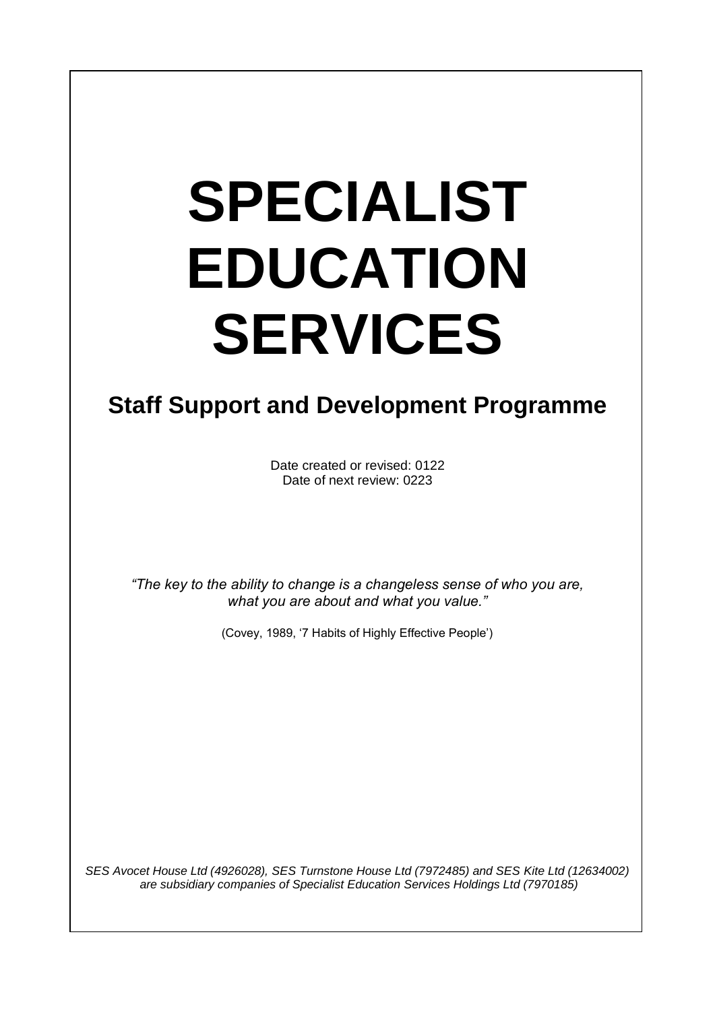# **SPECIALIST EDUCATION SERVICES**

I

# **Staff Support and Development Programme**

Date created or revised: 0122 Date of next review: 0223

*"The key to the ability to change is a changeless sense of who you are, what you are about and what you value."*

(Covey, 1989, '7 Habits of Highly Effective People')

*SES Avocet House Ltd (4926028), SES Turnstone House Ltd (7972485) and SES Kite Ltd (12634002) are subsidiary companies of Specialist Education Services Holdings Ltd (7970185)*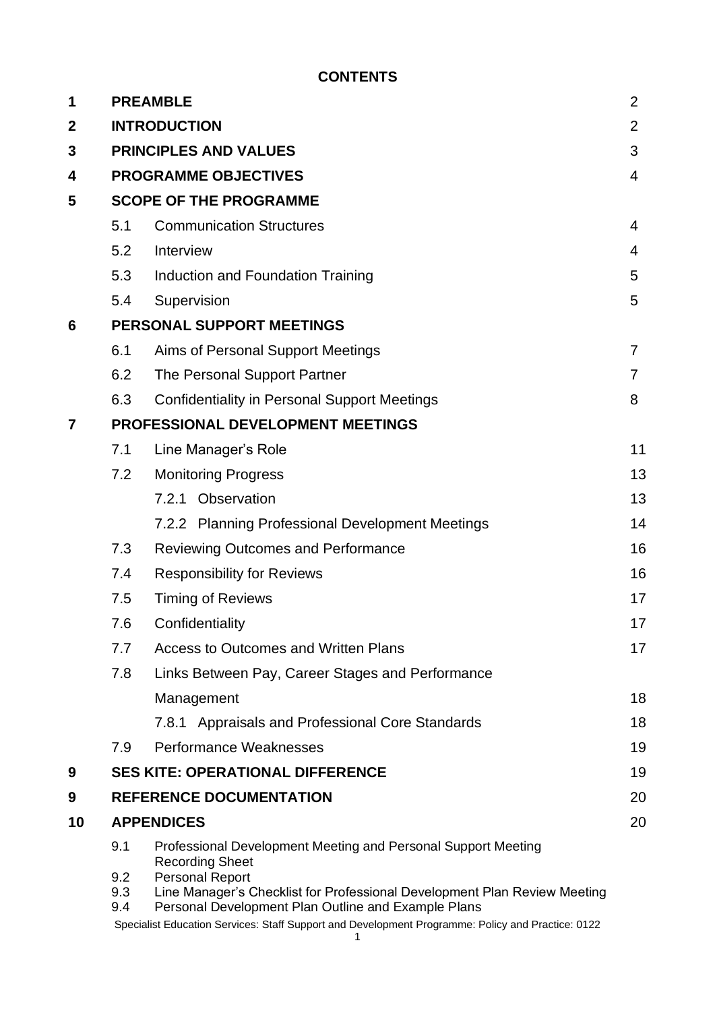#### **CONTENTS**

| 1              |                                       | <b>PREAMBLE</b><br>$\overline{2}$                                                                                                                                                              |                |  |  |
|----------------|---------------------------------------|------------------------------------------------------------------------------------------------------------------------------------------------------------------------------------------------|----------------|--|--|
| $\mathbf{2}$   | <b>INTRODUCTION</b><br>$\overline{2}$ |                                                                                                                                                                                                |                |  |  |
| 3              | <b>PRINCIPLES AND VALUES</b><br>3     |                                                                                                                                                                                                |                |  |  |
| 4              | <b>PROGRAMME OBJECTIVES</b>           |                                                                                                                                                                                                |                |  |  |
| 5              | <b>SCOPE OF THE PROGRAMME</b>         |                                                                                                                                                                                                |                |  |  |
|                | 5.1                                   | <b>Communication Structures</b>                                                                                                                                                                | 4              |  |  |
|                | 5.2                                   | Interview                                                                                                                                                                                      | 4              |  |  |
|                | 5.3                                   | Induction and Foundation Training                                                                                                                                                              | 5              |  |  |
|                | 5.4                                   | Supervision                                                                                                                                                                                    | 5              |  |  |
| 6              |                                       | PERSONAL SUPPORT MEETINGS                                                                                                                                                                      |                |  |  |
|                | 6.1                                   | Aims of Personal Support Meetings                                                                                                                                                              | $\overline{7}$ |  |  |
|                | 6.2                                   | The Personal Support Partner                                                                                                                                                                   | $\overline{7}$ |  |  |
|                | 6.3                                   | <b>Confidentiality in Personal Support Meetings</b>                                                                                                                                            | 8              |  |  |
| $\overline{7}$ | PROFESSIONAL DEVELOPMENT MEETINGS     |                                                                                                                                                                                                |                |  |  |
|                | 7.1                                   | Line Manager's Role                                                                                                                                                                            | 11             |  |  |
|                | 7.2                                   | <b>Monitoring Progress</b>                                                                                                                                                                     | 13             |  |  |
|                |                                       | 7.2.1 Observation                                                                                                                                                                              | 13             |  |  |
|                |                                       | 7.2.2 Planning Professional Development Meetings                                                                                                                                               | 14             |  |  |
|                | 7.3                                   | <b>Reviewing Outcomes and Performance</b>                                                                                                                                                      | 16             |  |  |
|                | 7.4                                   | <b>Responsibility for Reviews</b>                                                                                                                                                              | 16             |  |  |
|                | 7.5                                   | <b>Timing of Reviews</b>                                                                                                                                                                       | 17             |  |  |
|                | 7.6                                   | Confidentiality                                                                                                                                                                                | 17             |  |  |
|                | 7.7                                   | <b>Access to Outcomes and Written Plans</b>                                                                                                                                                    | 17             |  |  |
|                | 7.8                                   | Links Between Pay, Career Stages and Performance                                                                                                                                               |                |  |  |
|                |                                       | Management                                                                                                                                                                                     | 18             |  |  |
|                |                                       | 7.8.1 Appraisals and Professional Core Standards                                                                                                                                               | 18             |  |  |
|                | 7.9                                   | Performance Weaknesses                                                                                                                                                                         | 19             |  |  |
| 9              |                                       | <b>SES KITE: OPERATIONAL DIFFERENCE</b>                                                                                                                                                        | 19             |  |  |
| 9              |                                       | <b>REFERENCE DOCUMENTATION</b>                                                                                                                                                                 | 20             |  |  |
| 10             | <b>APPENDICES</b>                     |                                                                                                                                                                                                |                |  |  |
|                | 9.1<br>9.2<br>9.3                     | Professional Development Meeting and Personal Support Meeting<br><b>Recording Sheet</b><br><b>Personal Report</b><br>Line Manager's Checklist for Professional Development Plan Review Meeting |                |  |  |
|                | 9.4                                   | Personal Development Plan Outline and Example Plans<br>Specialist Education Services: Staff Support and Development Programme: Policy and Practice: 0122                                       |                |  |  |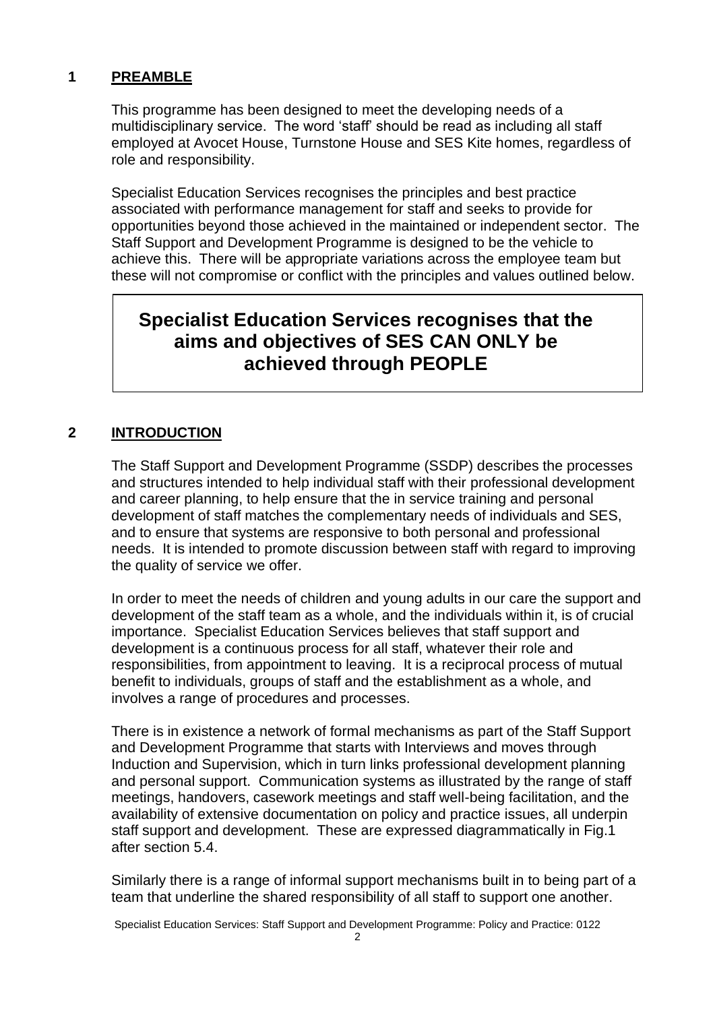#### **1 PREAMBLE**

This programme has been designed to meet the developing needs of a multidisciplinary service. The word 'staff' should be read as including all staff employed at Avocet House, Turnstone House and SES Kite homes, regardless of role and responsibility.

Specialist Education Services recognises the principles and best practice associated with performance management for staff and seeks to provide for opportunities beyond those achieved in the maintained or independent sector. The Staff Support and Development Programme is designed to be the vehicle to achieve this. There will be appropriate variations across the employee team but these will not compromise or conflict with the principles and values outlined below.

### **Specialist Education Services recognises that the aims and objectives of SES CAN ONLY be achieved through PEOPLE**

#### **2 INTRODUCTION**

The Staff Support and Development Programme (SSDP) describes the processes and structures intended to help individual staff with their professional development and career planning, to help ensure that the in service training and personal development of staff matches the complementary needs of individuals and SES, and to ensure that systems are responsive to both personal and professional needs. It is intended to promote discussion between staff with regard to improving the quality of service we offer.

In order to meet the needs of children and young adults in our care the support and development of the staff team as a whole, and the individuals within it, is of crucial importance. Specialist Education Services believes that staff support and development is a continuous process for all staff, whatever their role and responsibilities, from appointment to leaving. It is a reciprocal process of mutual benefit to individuals, groups of staff and the establishment as a whole, and involves a range of procedures and processes.

There is in existence a network of formal mechanisms as part of the Staff Support and Development Programme that starts with Interviews and moves through Induction and Supervision, which in turn links professional development planning and personal support. Communication systems as illustrated by the range of staff meetings, handovers, casework meetings and staff well-being facilitation, and the availability of extensive documentation on policy and practice issues, all underpin staff support and development. These are expressed diagrammatically in Fig.1 after section 5.4.

Similarly there is a range of informal support mechanisms built in to being part of a team that underline the shared responsibility of all staff to support one another.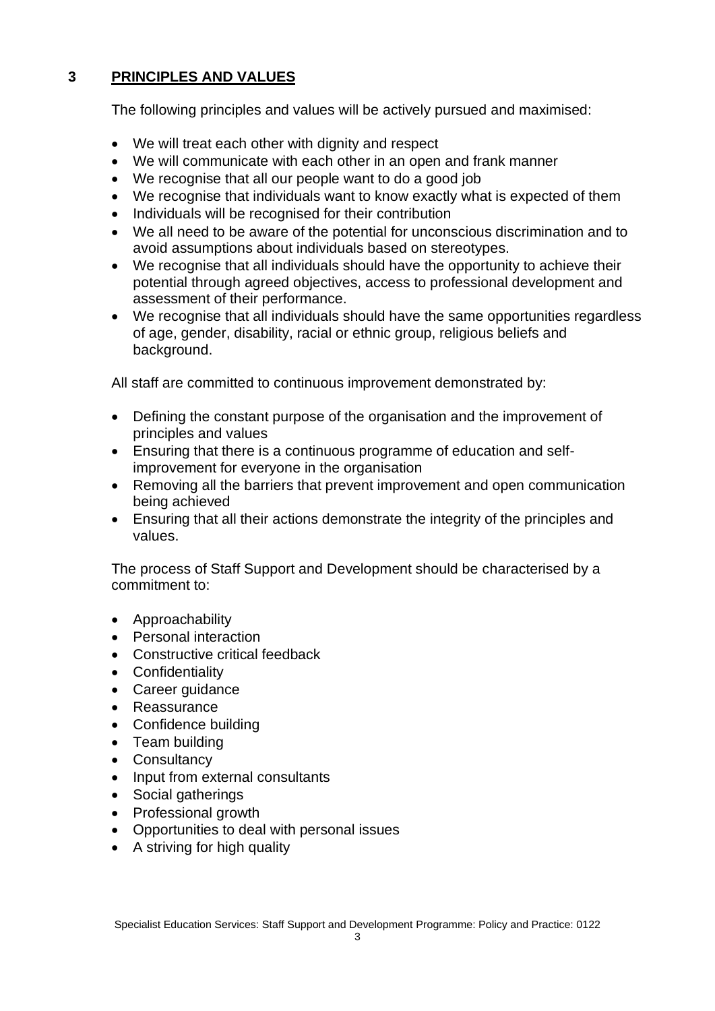#### **3 PRINCIPLES AND VALUES**

The following principles and values will be actively pursued and maximised:

- We will treat each other with dignity and respect
- We will communicate with each other in an open and frank manner
- We recognise that all our people want to do a good job
- We recognise that individuals want to know exactly what is expected of them
- Individuals will be recognised for their contribution
- We all need to be aware of the potential for unconscious discrimination and to avoid assumptions about individuals based on stereotypes.
- We recognise that all individuals should have the opportunity to achieve their potential through agreed objectives, access to professional development and assessment of their performance.
- We recognise that all individuals should have the same opportunities regardless of age, gender, disability, racial or ethnic group, religious beliefs and background.

All staff are committed to continuous improvement demonstrated by:

- Defining the constant purpose of the organisation and the improvement of principles and values
- Ensuring that there is a continuous programme of education and selfimprovement for everyone in the organisation
- Removing all the barriers that prevent improvement and open communication being achieved
- Ensuring that all their actions demonstrate the integrity of the principles and values.

The process of Staff Support and Development should be characterised by a commitment to:

- Approachability
- Personal interaction
- Constructive critical feedback
- Confidentiality
- Career quidance
- Reassurance
- Confidence building
- Team building
- Consultancy
- Input from external consultants
- Social gatherings
- Professional growth
- Opportunities to deal with personal issues
- A striving for high quality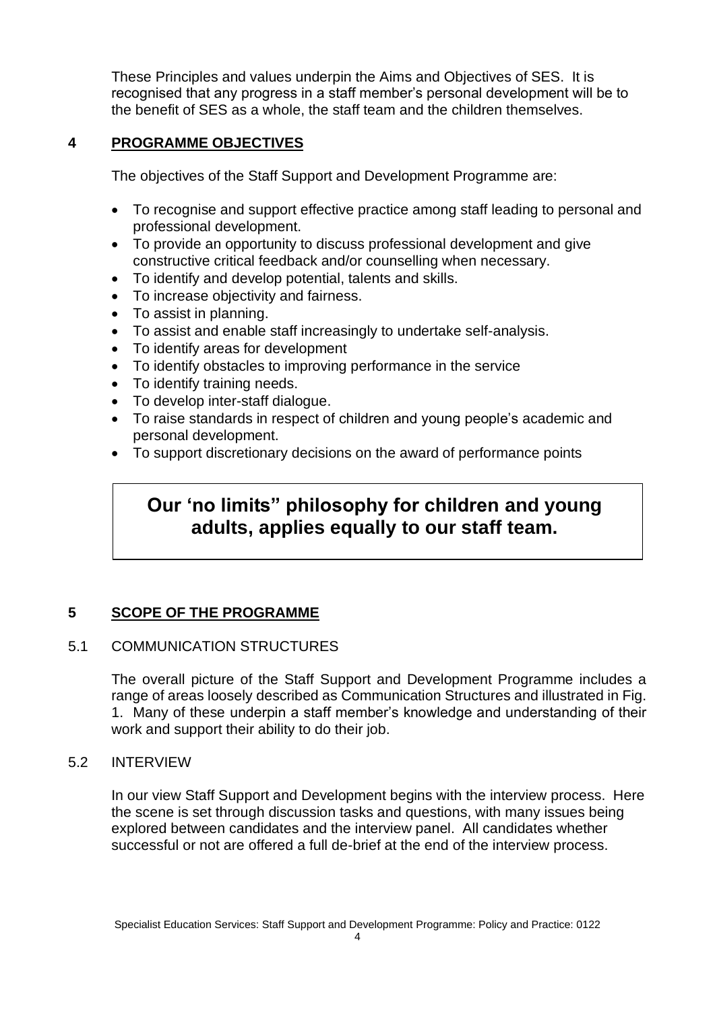These Principles and values underpin the Aims and Objectives of SES. It is recognised that any progress in a staff member's personal development will be to the benefit of SES as a whole, the staff team and the children themselves.

#### **4 PROGRAMME OBJECTIVES**

The objectives of the Staff Support and Development Programme are:

- To recognise and support effective practice among staff leading to personal and professional development.
- To provide an opportunity to discuss professional development and give constructive critical feedback and/or counselling when necessary.
- To identify and develop potential, talents and skills.
- To increase objectivity and fairness.
- To assist in planning.
- To assist and enable staff increasingly to undertake self-analysis.
- To identify areas for development
- To identify obstacles to improving performance in the service
- To identify training needs.
- To develop inter-staff dialogue.
- To raise standards in respect of children and young people's academic and personal development.
- To support discretionary decisions on the award of performance points

### **Our 'no limits" philosophy for children and young adults, applies equally to our staff team.**

#### **5 SCOPE OF THE PROGRAMME**

#### 5.1 COMMUNICATION STRUCTURES

The overall picture of the Staff Support and Development Programme includes a range of areas loosely described as Communication Structures and illustrated in Fig. 1. Many of these underpin a staff member's knowledge and understanding of their work and support their ability to do their job.

#### 5.2 INTERVIEW

In our view Staff Support and Development begins with the interview process. Here the scene is set through discussion tasks and questions, with many issues being explored between candidates and the interview panel. All candidates whether successful or not are offered a full de-brief at the end of the interview process.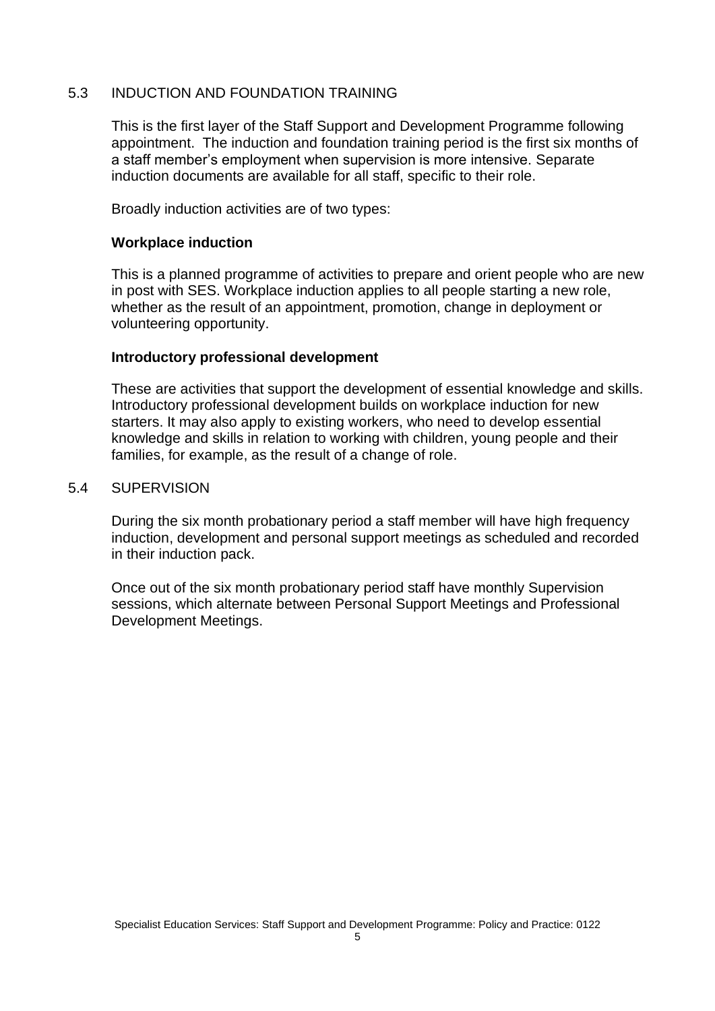#### 5.3 INDUCTION AND FOUNDATION TRAINING

This is the first layer of the Staff Support and Development Programme following appointment. The induction and foundation training period is the first six months of a staff member's employment when supervision is more intensive. Separate induction documents are available for all staff, specific to their role.

Broadly induction activities are of two types:

#### **Workplace induction**

This is a planned programme of activities to prepare and orient people who are new in post with SES. Workplace induction applies to all people starting a new role, whether as the result of an appointment, promotion, change in deployment or volunteering opportunity.

#### **Introductory professional development**

These are activities that support the development of essential knowledge and skills. Introductory professional development builds on workplace induction for new starters. It may also apply to existing workers, who need to develop essential knowledge and skills in relation to working with children, young people and their families, for example, as the result of a change of role.

#### 5.4 SUPERVISION

During the six month probationary period a staff member will have high frequency induction, development and personal support meetings as scheduled and recorded in their induction pack.

Once out of the six month probationary period staff have monthly Supervision sessions, which alternate between Personal Support Meetings and Professional Development Meetings.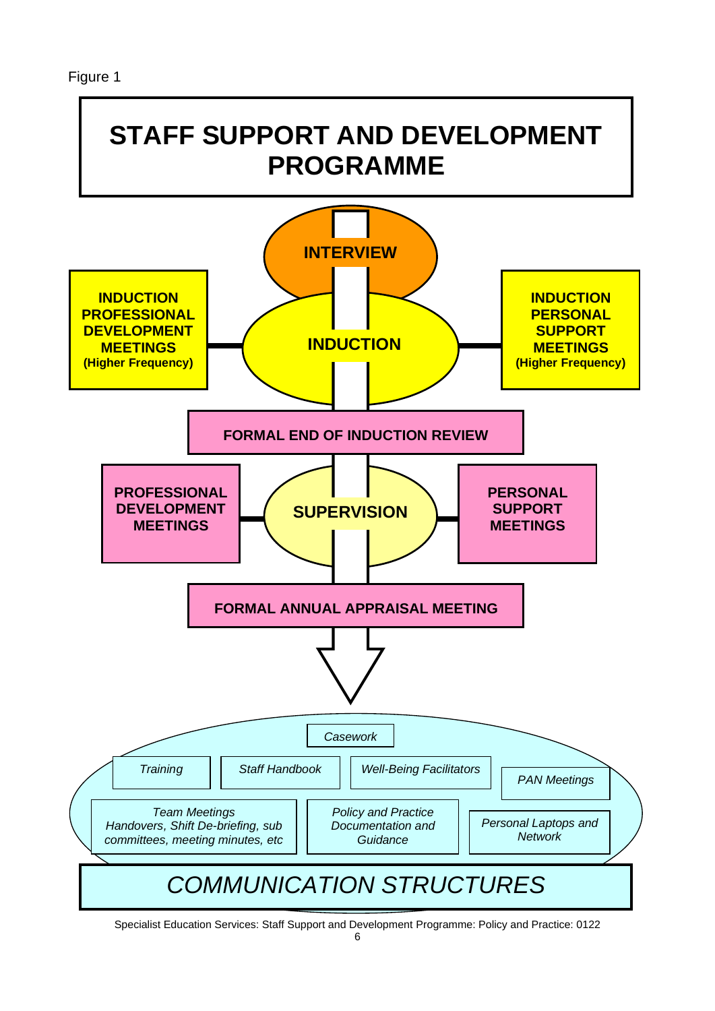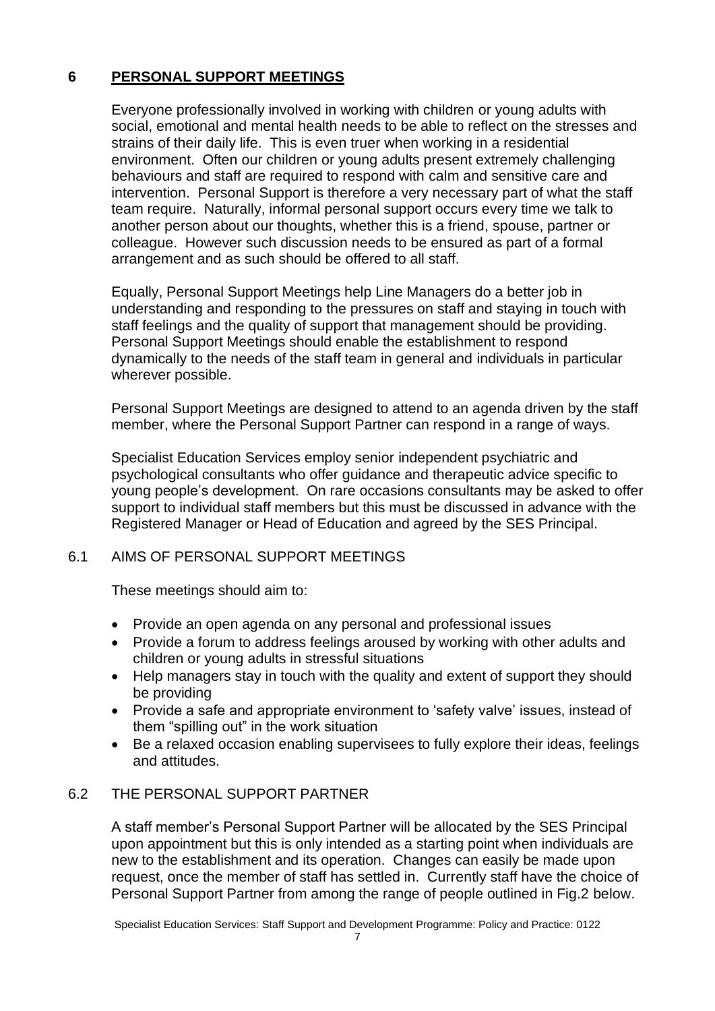#### **6 PERSONAL SUPPORT MEETINGS**

Everyone professionally involved in working with children or young adults with social, emotional and mental health needs to be able to reflect on the stresses and strains of their daily life. This is even truer when working in a residential environment. Often our children or young adults present extremely challenging behaviours and staff are required to respond with calm and sensitive care and intervention. Personal Support is therefore a very necessary part of what the staff team require. Naturally, informal personal support occurs every time we talk to another person about our thoughts, whether this is a friend, spouse, partner or colleague. However such discussion needs to be ensured as part of a formal arrangement and as such should be offered to all staff.

Equally, Personal Support Meetings help Line Managers do a better job in understanding and responding to the pressures on staff and staying in touch with staff feelings and the quality of support that management should be providing. Personal Support Meetings should enable the establishment to respond dynamically to the needs of the staff team in general and individuals in particular wherever possible.

Personal Support Meetings are designed to attend to an agenda driven by the staff member, where the Personal Support Partner can respond in a range of ways.

Specialist Education Services employ senior independent psychiatric and psychological consultants who offer guidance and therapeutic advice specific to young people's development. On rare occasions consultants may be asked to offer support to individual staff members but this must be discussed in advance with the Registered Manager or Head of Education and agreed by the SES Principal.

#### 6.1 AIMS OF PERSONAL SUPPORT MEETINGS

These meetings should aim to:

- Provide an open agenda on any personal and professional issues
- Provide a forum to address feelings aroused by working with other adults and children or young adults in stressful situations
- Help managers stay in touch with the quality and extent of support they should be providing
- Provide a safe and appropriate environment to 'safety valve' issues, instead of them "spilling out" in the work situation
- Be a relaxed occasion enabling supervisees to fully explore their ideas, feelings and attitudes.

#### 6.2 THE PERSONAL SUPPORT PARTNER

A staff member's Personal Support Partner will be allocated by the SES Principal upon appointment but this is only intended as a starting point when individuals are new to the establishment and its operation. Changes can easily be made upon request, once the member of staff has settled in. Currently staff have the choice of Personal Support Partner from among the range of people outlined in Fig.2 below.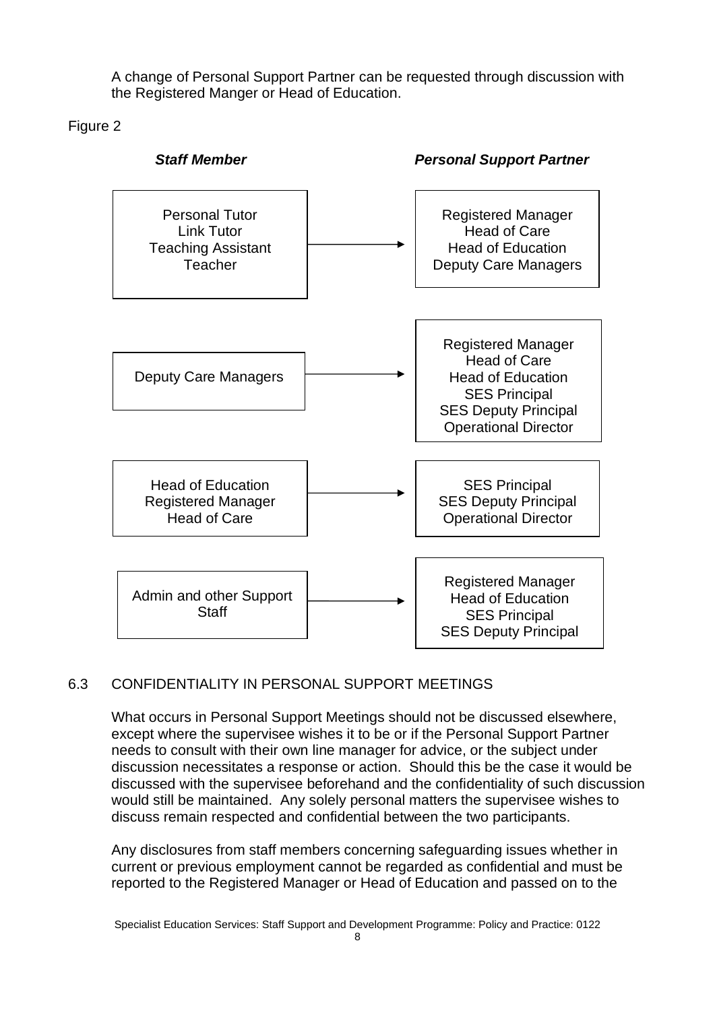A change of Personal Support Partner can be requested through discussion with the Registered Manger or Head of Education.

Figure 2



#### 6.3 CONFIDENTIALITY IN PERSONAL SUPPORT MEETINGS

What occurs in Personal Support Meetings should not be discussed elsewhere, except where the supervisee wishes it to be or if the Personal Support Partner needs to consult with their own line manager for advice, or the subject under discussion necessitates a response or action. Should this be the case it would be discussed with the supervisee beforehand and the confidentiality of such discussion would still be maintained. Any solely personal matters the supervisee wishes to discuss remain respected and confidential between the two participants.

Any disclosures from staff members concerning safeguarding issues whether in current or previous employment cannot be regarded as confidential and must be reported to the Registered Manager or Head of Education and passed on to the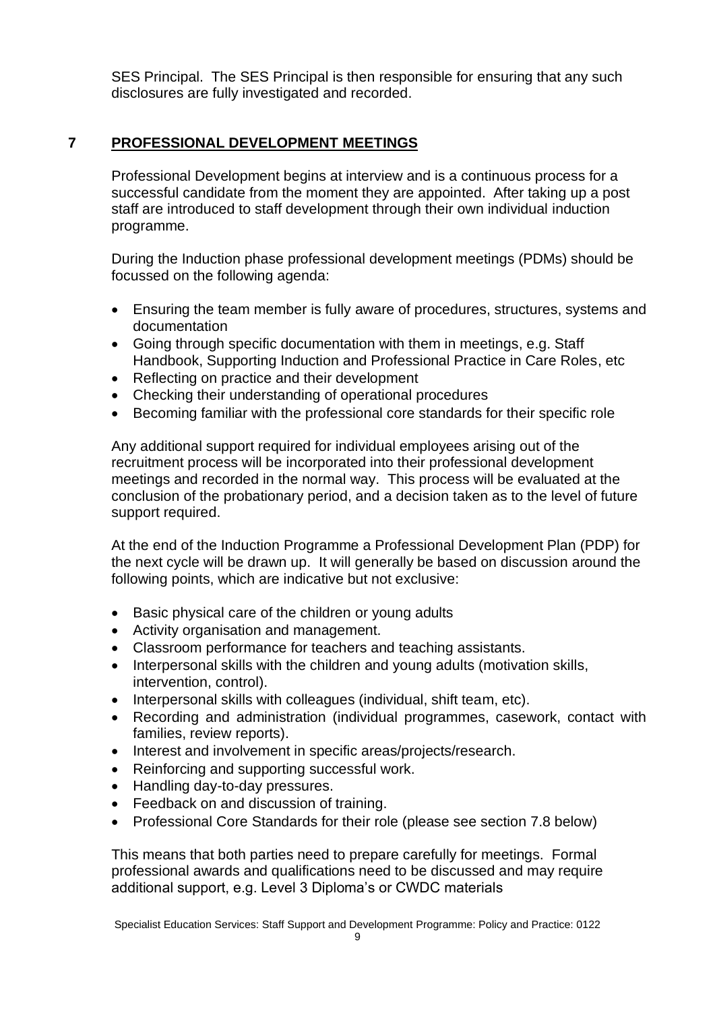SES Principal. The SES Principal is then responsible for ensuring that any such disclosures are fully investigated and recorded.

#### **7 PROFESSIONAL DEVELOPMENT MEETINGS**

Professional Development begins at interview and is a continuous process for a successful candidate from the moment they are appointed. After taking up a post staff are introduced to staff development through their own individual induction programme.

During the Induction phase professional development meetings (PDMs) should be focussed on the following agenda:

- Ensuring the team member is fully aware of procedures, structures, systems and documentation
- Going through specific documentation with them in meetings, e.g. Staff Handbook, Supporting Induction and Professional Practice in Care Roles, etc
- Reflecting on practice and their development
- Checking their understanding of operational procedures
- Becoming familiar with the professional core standards for their specific role

Any additional support required for individual employees arising out of the recruitment process will be incorporated into their professional development meetings and recorded in the normal way. This process will be evaluated at the conclusion of the probationary period, and a decision taken as to the level of future support required.

At the end of the Induction Programme a Professional Development Plan (PDP) for the next cycle will be drawn up. It will generally be based on discussion around the following points, which are indicative but not exclusive:

- Basic physical care of the children or young adults
- Activity organisation and management.
- Classroom performance for teachers and teaching assistants.
- Interpersonal skills with the children and young adults (motivation skills, intervention, control).
- Interpersonal skills with colleagues (individual, shift team, etc).
- Recording and administration (individual programmes, casework, contact with families, review reports).
- Interest and involvement in specific areas/projects/research.
- Reinforcing and supporting successful work.
- Handling day-to-day pressures.
- Feedback on and discussion of training.
- Professional Core Standards for their role (please see section 7.8 below)

This means that both parties need to prepare carefully for meetings. Formal professional awards and qualifications need to be discussed and may require additional support, e.g. Level 3 Diploma's or CWDC materials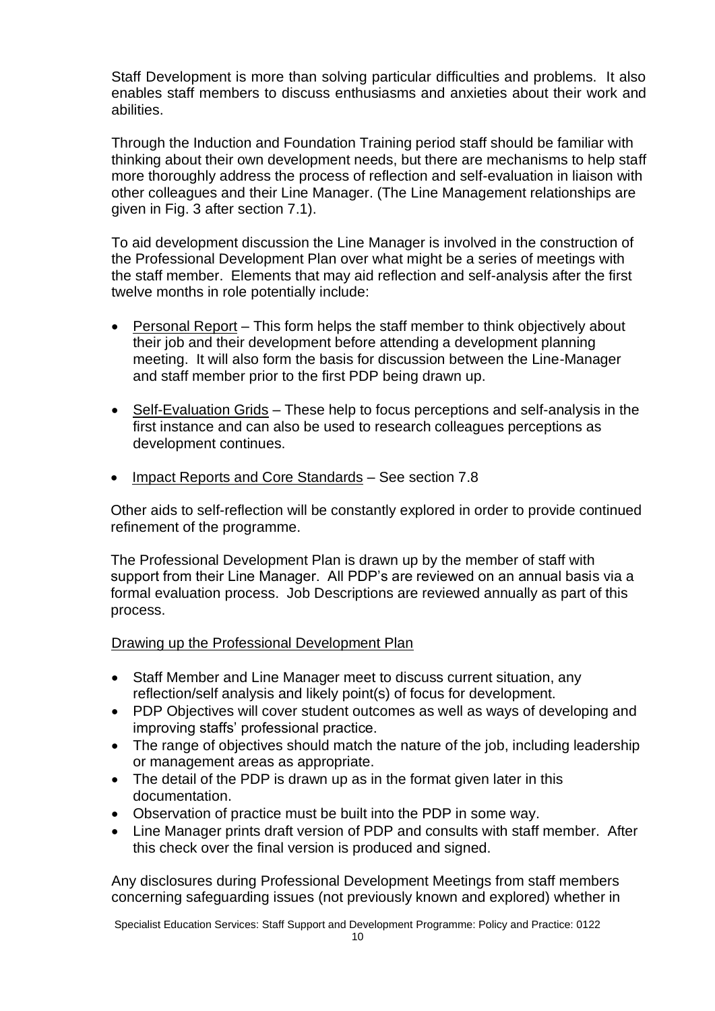Staff Development is more than solving particular difficulties and problems. It also enables staff members to discuss enthusiasms and anxieties about their work and abilities.

Through the Induction and Foundation Training period staff should be familiar with thinking about their own development needs, but there are mechanisms to help staff more thoroughly address the process of reflection and self-evaluation in liaison with other colleagues and their Line Manager. (The Line Management relationships are given in Fig. 3 after section 7.1).

To aid development discussion the Line Manager is involved in the construction of the Professional Development Plan over what might be a series of meetings with the staff member. Elements that may aid reflection and self-analysis after the first twelve months in role potentially include:

- Personal Report This form helps the staff member to think objectively about their job and their development before attending a development planning meeting. It will also form the basis for discussion between the Line-Manager and staff member prior to the first PDP being drawn up.
- Self-Evaluation Grids These help to focus perceptions and self-analysis in the first instance and can also be used to research colleagues perceptions as development continues.
- Impact Reports and Core Standards See section 7.8

Other aids to self-reflection will be constantly explored in order to provide continued refinement of the programme.

The Professional Development Plan is drawn up by the member of staff with support from their Line Manager. All PDP's are reviewed on an annual basis via a formal evaluation process. Job Descriptions are reviewed annually as part of this process.

#### Drawing up the Professional Development Plan

- Staff Member and Line Manager meet to discuss current situation, any reflection/self analysis and likely point(s) of focus for development.
- PDP Objectives will cover student outcomes as well as ways of developing and improving staffs' professional practice.
- The range of objectives should match the nature of the job, including leadership or management areas as appropriate.
- The detail of the PDP is drawn up as in the format given later in this documentation.
- Observation of practice must be built into the PDP in some way.
- Line Manager prints draft version of PDP and consults with staff member. After this check over the final version is produced and signed.

Any disclosures during Professional Development Meetings from staff members concerning safeguarding issues (not previously known and explored) whether in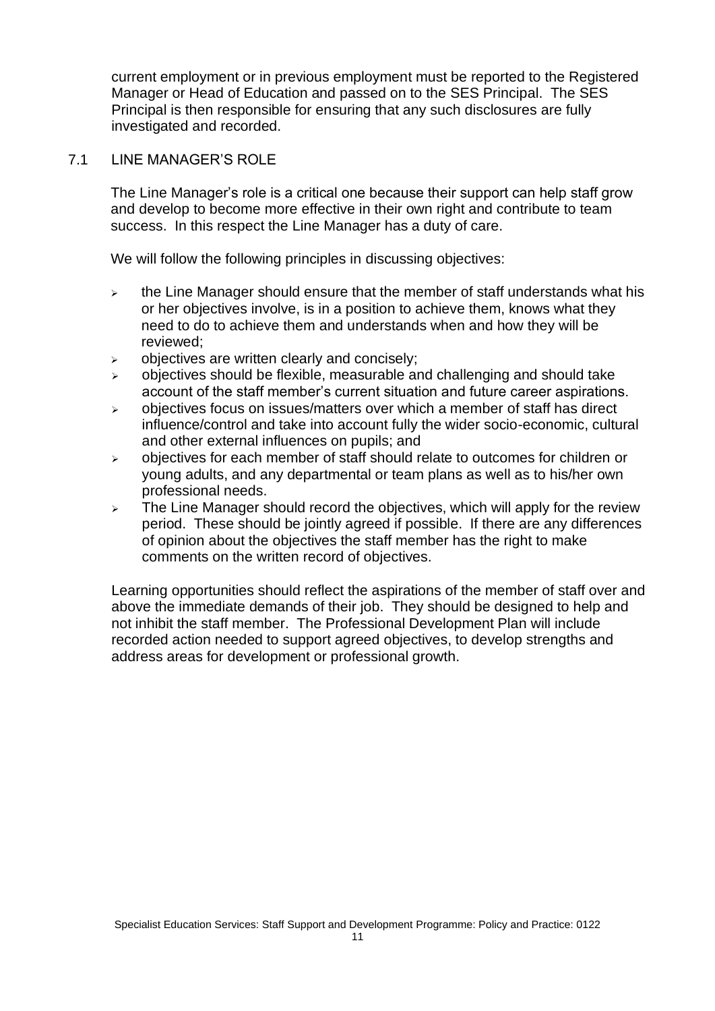current employment or in previous employment must be reported to the Registered Manager or Head of Education and passed on to the SES Principal. The SES Principal is then responsible for ensuring that any such disclosures are fully investigated and recorded.

#### 7.1 LINE MANAGER'S ROLE

The Line Manager's role is a critical one because their support can help staff grow and develop to become more effective in their own right and contribute to team success. In this respect the Line Manager has a duty of care.

We will follow the following principles in discussing objectives:

- $\rightarrow$  the Line Manager should ensure that the member of staff understands what his or her objectives involve, is in a position to achieve them, knows what they need to do to achieve them and understands when and how they will be reviewed;
- $\triangleright$  objectives are written clearly and concisely;
- $\triangleright$  objectives should be flexible, measurable and challenging and should take account of the staff member's current situation and future career aspirations.
- $\geq$  objectives focus on issues/matters over which a member of staff has direct influence/control and take into account fully the wider socio-economic, cultural and other external influences on pupils; and
- ➢ objectives for each member of staff should relate to outcomes for children or young adults, and any departmental or team plans as well as to his/her own professional needs.
- $\geq$  The Line Manager should record the objectives, which will apply for the review period. These should be jointly agreed if possible. If there are any differences of opinion about the objectives the staff member has the right to make comments on the written record of objectives.

Learning opportunities should reflect the aspirations of the member of staff over and above the immediate demands of their job. They should be designed to help and not inhibit the staff member. The Professional Development Plan will include recorded action needed to support agreed objectives, to develop strengths and address areas for development or professional growth.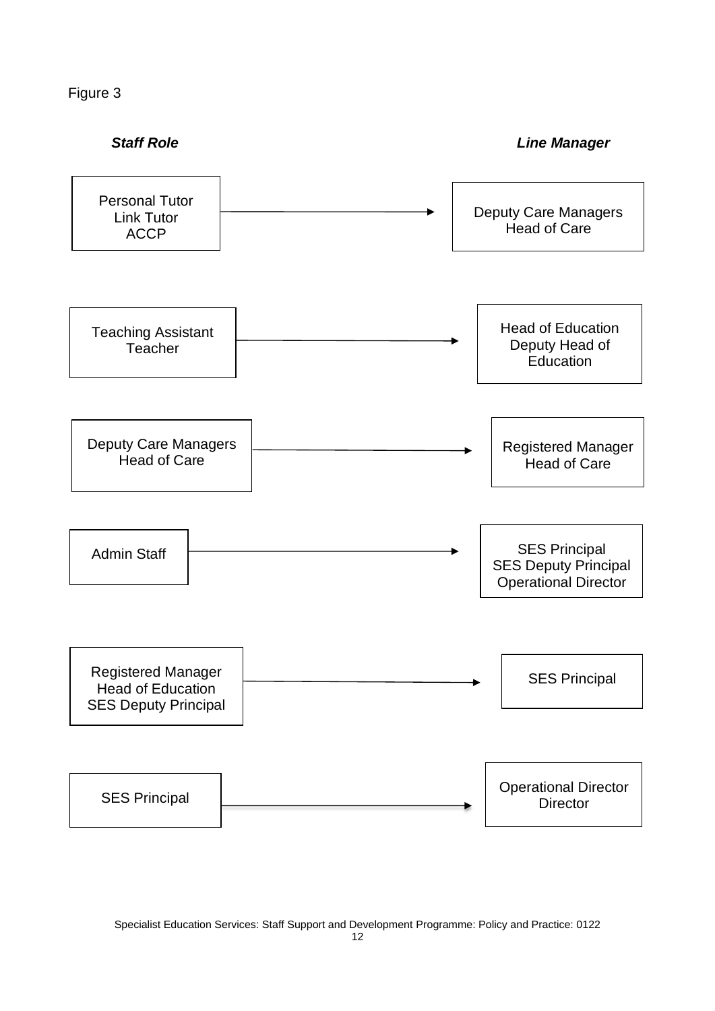Figure 3

**Staff Role Contract Contract Contract Contract Contract Contract Contract Contract Contract Contract Contract Contract Contract Contract Contract Contract Contract Contract Contract Contract Contract Contract Contract C** 

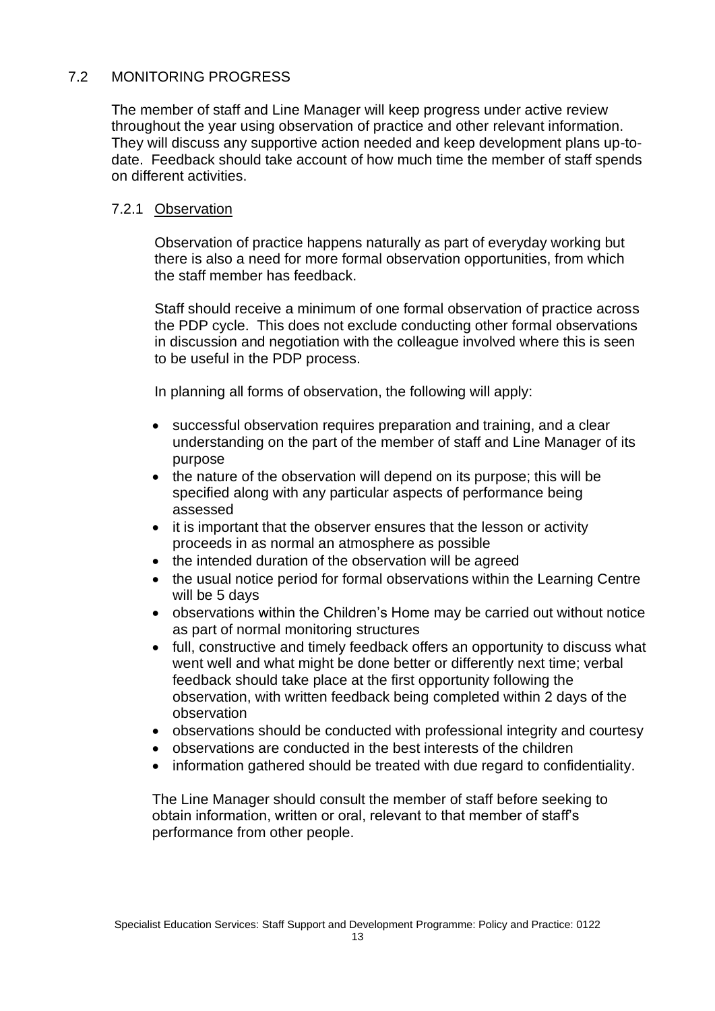#### 7.2 MONITORING PROGRESS

The member of staff and Line Manager will keep progress under active review throughout the year using observation of practice and other relevant information. They will discuss any supportive action needed and keep development plans up-todate. Feedback should take account of how much time the member of staff spends on different activities.

#### 7.2.1 Observation

Observation of practice happens naturally as part of everyday working but there is also a need for more formal observation opportunities, from which the staff member has feedback.

Staff should receive a minimum of one formal observation of practice across the PDP cycle. This does not exclude conducting other formal observations in discussion and negotiation with the colleague involved where this is seen to be useful in the PDP process.

In planning all forms of observation, the following will apply:

- successful observation requires preparation and training, and a clear understanding on the part of the member of staff and Line Manager of its purpose
- the nature of the observation will depend on its purpose; this will be specified along with any particular aspects of performance being assessed
- it is important that the observer ensures that the lesson or activity proceeds in as normal an atmosphere as possible
- the intended duration of the observation will be agreed
- the usual notice period for formal observations within the Learning Centre will be 5 days
- observations within the Children's Home may be carried out without notice as part of normal monitoring structures
- full, constructive and timely feedback offers an opportunity to discuss what went well and what might be done better or differently next time; verbal feedback should take place at the first opportunity following the observation, with written feedback being completed within 2 days of the observation
- observations should be conducted with professional integrity and courtesy
- observations are conducted in the best interests of the children
- information gathered should be treated with due regard to confidentiality.

The Line Manager should consult the member of staff before seeking to obtain information, written or oral, relevant to that member of staff's performance from other people.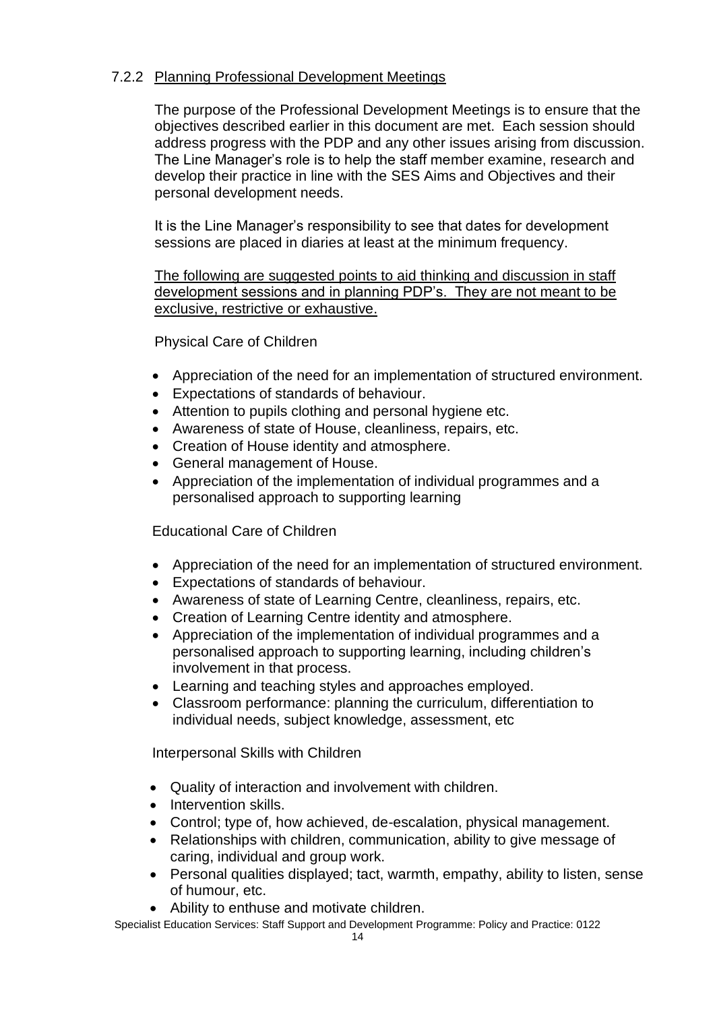#### 7.2.2 Planning Professional Development Meetings

The purpose of the Professional Development Meetings is to ensure that the objectives described earlier in this document are met. Each session should address progress with the PDP and any other issues arising from discussion. The Line Manager's role is to help the staff member examine, research and develop their practice in line with the SES Aims and Objectives and their personal development needs.

It is the Line Manager's responsibility to see that dates for development sessions are placed in diaries at least at the minimum frequency.

The following are suggested points to aid thinking and discussion in staff development sessions and in planning PDP's. They are not meant to be exclusive, restrictive or exhaustive.

Physical Care of Children

- Appreciation of the need for an implementation of structured environment.
- Expectations of standards of behaviour.
- Attention to pupils clothing and personal hygiene etc.
- Awareness of state of House, cleanliness, repairs, etc.
- Creation of House identity and atmosphere.
- General management of House.
- Appreciation of the implementation of individual programmes and a personalised approach to supporting learning

Educational Care of Children

- Appreciation of the need for an implementation of structured environment.
- Expectations of standards of behaviour.
- Awareness of state of Learning Centre, cleanliness, repairs, etc.
- Creation of Learning Centre identity and atmosphere.
- Appreciation of the implementation of individual programmes and a personalised approach to supporting learning, including children's involvement in that process.
- Learning and teaching styles and approaches employed.
- Classroom performance: planning the curriculum, differentiation to individual needs, subject knowledge, assessment, etc

Interpersonal Skills with Children

- Quality of interaction and involvement with children.
- Intervention skills.
- Control; type of, how achieved, de-escalation, physical management.
- Relationships with children, communication, ability to give message of caring, individual and group work.
- Personal qualities displayed; tact, warmth, empathy, ability to listen, sense of humour, etc.
- Ability to enthuse and motivate children.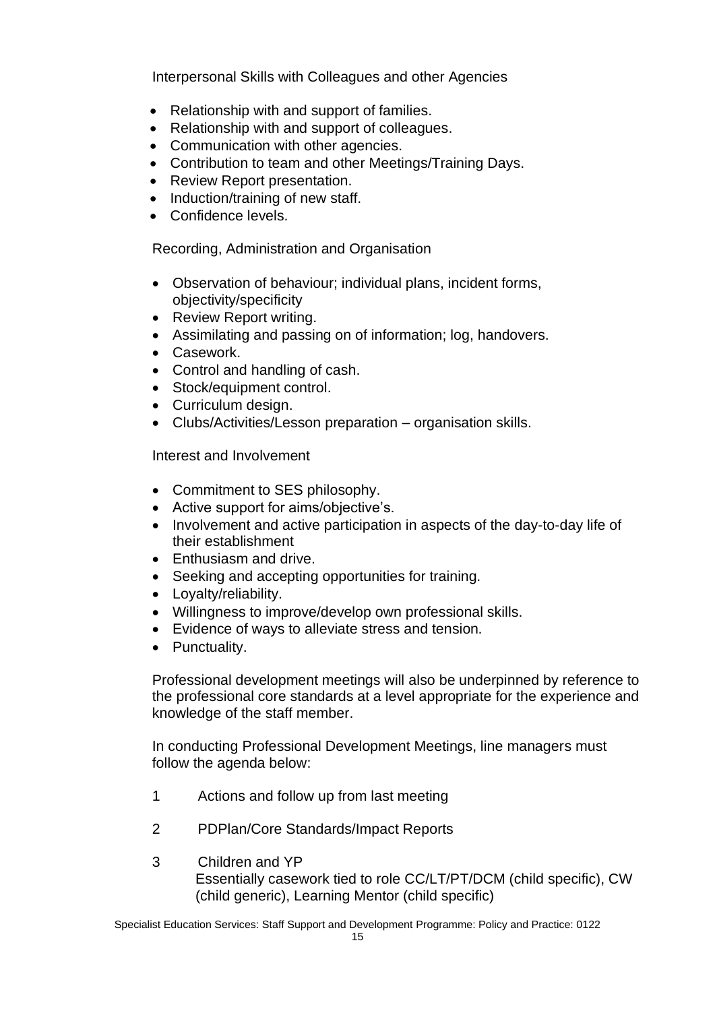Interpersonal Skills with Colleagues and other Agencies

- Relationship with and support of families.
- Relationship with and support of colleagues.
- Communication with other agencies.
- Contribution to team and other Meetings/Training Days.
- Review Report presentation.
- Induction/training of new staff.
- Confidence levels.

Recording, Administration and Organisation

- Observation of behaviour; individual plans, incident forms, objectivity/specificity
- Review Report writing.
- Assimilating and passing on of information; log, handovers.
- Casework.
- Control and handling of cash.
- Stock/equipment control.
- Curriculum design.
- Clubs/Activities/Lesson preparation organisation skills.

Interest and Involvement

- Commitment to SES philosophy.
- Active support for aims/objective's.
- Involvement and active participation in aspects of the day-to-day life of their establishment
- Enthusiasm and drive.
- Seeking and accepting opportunities for training.
- Loyalty/reliability.
- Willingness to improve/develop own professional skills.
- Evidence of ways to alleviate stress and tension.
- Punctuality.

Professional development meetings will also be underpinned by reference to the professional core standards at a level appropriate for the experience and knowledge of the staff member.

In conducting Professional Development Meetings, line managers must follow the agenda below:

- 1 Actions and follow up from last meeting
- 2 PDPlan/Core Standards/Impact Reports
- 3 Children and YP Essentially casework tied to role CC/LT/PT/DCM (child specific), CW (child generic), Learning Mentor (child specific)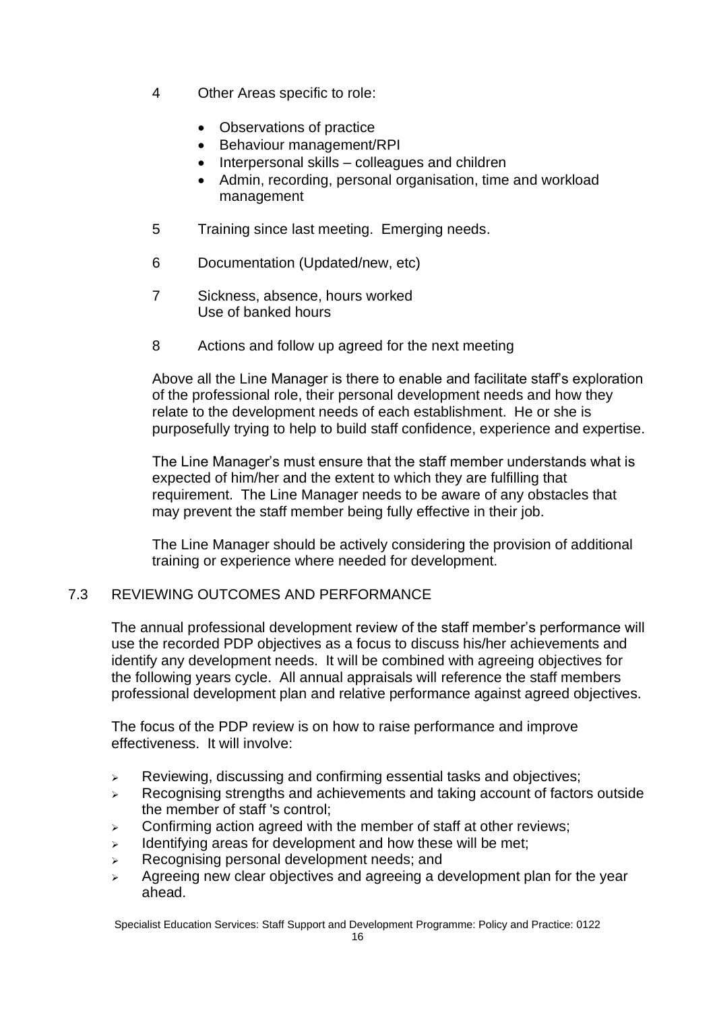- 4 Other Areas specific to role:
	- Observations of practice
	- Behaviour management/RPI
	- Interpersonal skills colleagues and children
	- Admin, recording, personal organisation, time and workload management
- 5 Training since last meeting. Emerging needs.
- 6 Documentation (Updated/new, etc)
- 7 Sickness, absence, hours worked Use of banked hours
- 8 Actions and follow up agreed for the next meeting

Above all the Line Manager is there to enable and facilitate staff's exploration of the professional role, their personal development needs and how they relate to the development needs of each establishment. He or she is purposefully trying to help to build staff confidence, experience and expertise.

The Line Manager's must ensure that the staff member understands what is expected of him/her and the extent to which they are fulfilling that requirement. The Line Manager needs to be aware of any obstacles that may prevent the staff member being fully effective in their job.

The Line Manager should be actively considering the provision of additional training or experience where needed for development.

#### 7.3 REVIEWING OUTCOMES AND PERFORMANCE

The annual professional development review of the staff member's performance will use the recorded PDP objectives as a focus to discuss his/her achievements and identify any development needs. It will be combined with agreeing objectives for the following years cycle. All annual appraisals will reference the staff members professional development plan and relative performance against agreed objectives.

The focus of the PDP review is on how to raise performance and improve effectiveness. It will involve:

- ➢ Reviewing, discussing and confirming essential tasks and objectives;
- ➢ Recognising strengths and achievements and taking account of factors outside the member of staff 's control;
- $\triangleright$  Confirming action agreed with the member of staff at other reviews;
- $\triangleright$  Identifying areas for development and how these will be met;
- ➢ Recognising personal development needs; and
- $\geq$  Agreeing new clear objectives and agreeing a development plan for the year ahead.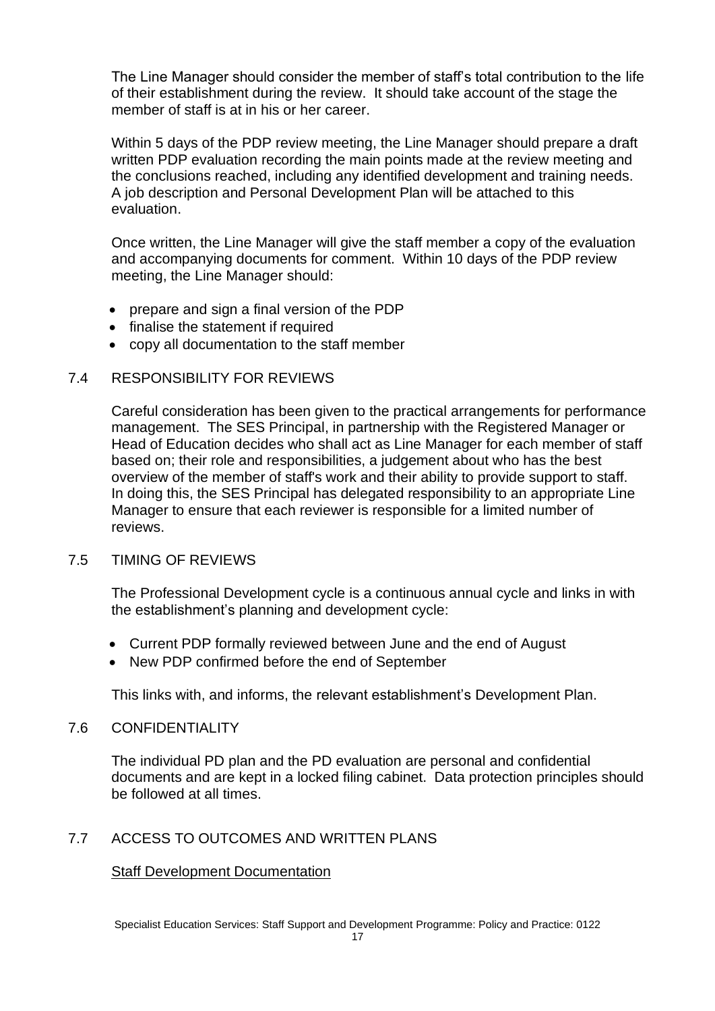The Line Manager should consider the member of staff's total contribution to the life of their establishment during the review. It should take account of the stage the member of staff is at in his or her career.

Within 5 days of the PDP review meeting, the Line Manager should prepare a draft written PDP evaluation recording the main points made at the review meeting and the conclusions reached, including any identified development and training needs. A job description and Personal Development Plan will be attached to this evaluation.

Once written, the Line Manager will give the staff member a copy of the evaluation and accompanying documents for comment. Within 10 days of the PDP review meeting, the Line Manager should:

- prepare and sign a final version of the PDP
- finalise the statement if required
- copy all documentation to the staff member

#### 7.4 RESPONSIBILITY FOR REVIEWS

Careful consideration has been given to the practical arrangements for performance management. The SES Principal, in partnership with the Registered Manager or Head of Education decides who shall act as Line Manager for each member of staff based on; their role and responsibilities, a judgement about who has the best overview of the member of staff's work and their ability to provide support to staff. In doing this, the SES Principal has delegated responsibility to an appropriate Line Manager to ensure that each reviewer is responsible for a limited number of reviews.

#### 7.5 TIMING OF REVIEWS

The Professional Development cycle is a continuous annual cycle and links in with the establishment's planning and development cycle:

- Current PDP formally reviewed between June and the end of August
- New PDP confirmed before the end of September

This links with, and informs, the relevant establishment's Development Plan.

#### 7.6 CONFIDENTIALITY

The individual PD plan and the PD evaluation are personal and confidential documents and are kept in a locked filing cabinet. Data protection principles should be followed at all times.

#### 7.7 ACCESS TO OUTCOMES AND WRITTEN PLANS

#### Staff Development Documentation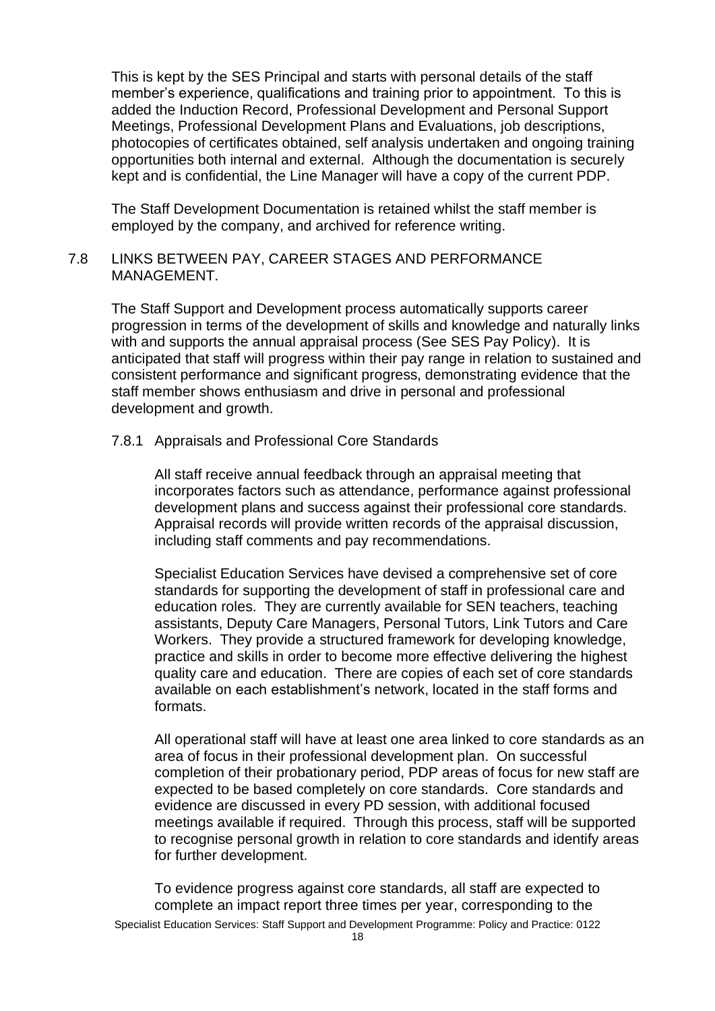This is kept by the SES Principal and starts with personal details of the staff member's experience, qualifications and training prior to appointment. To this is added the Induction Record, Professional Development and Personal Support Meetings, Professional Development Plans and Evaluations, job descriptions, photocopies of certificates obtained, self analysis undertaken and ongoing training opportunities both internal and external. Although the documentation is securely kept and is confidential, the Line Manager will have a copy of the current PDP.

The Staff Development Documentation is retained whilst the staff member is employed by the company, and archived for reference writing.

#### 7.8 LINKS BETWEEN PAY, CAREER STAGES AND PERFORMANCE MANAGEMENT.

The Staff Support and Development process automatically supports career progression in terms of the development of skills and knowledge and naturally links with and supports the annual appraisal process (See SES Pay Policy). It is anticipated that staff will progress within their pay range in relation to sustained and consistent performance and significant progress, demonstrating evidence that the staff member shows enthusiasm and drive in personal and professional development and growth.

#### 7.8.1 Appraisals and Professional Core Standards

All staff receive annual feedback through an appraisal meeting that incorporates factors such as attendance, performance against professional development plans and success against their professional core standards. Appraisal records will provide written records of the appraisal discussion, including staff comments and pay recommendations.

Specialist Education Services have devised a comprehensive set of core standards for supporting the development of staff in professional care and education roles. They are currently available for SEN teachers, teaching assistants, Deputy Care Managers, Personal Tutors, Link Tutors and Care Workers. They provide a structured framework for developing knowledge, practice and skills in order to become more effective delivering the highest quality care and education. There are copies of each set of core standards available on each establishment's network, located in the staff forms and formats.

All operational staff will have at least one area linked to core standards as an area of focus in their professional development plan. On successful completion of their probationary period, PDP areas of focus for new staff are expected to be based completely on core standards. Core standards and evidence are discussed in every PD session, with additional focused meetings available if required. Through this process, staff will be supported to recognise personal growth in relation to core standards and identify areas for further development.

To evidence progress against core standards, all staff are expected to complete an impact report three times per year, corresponding to the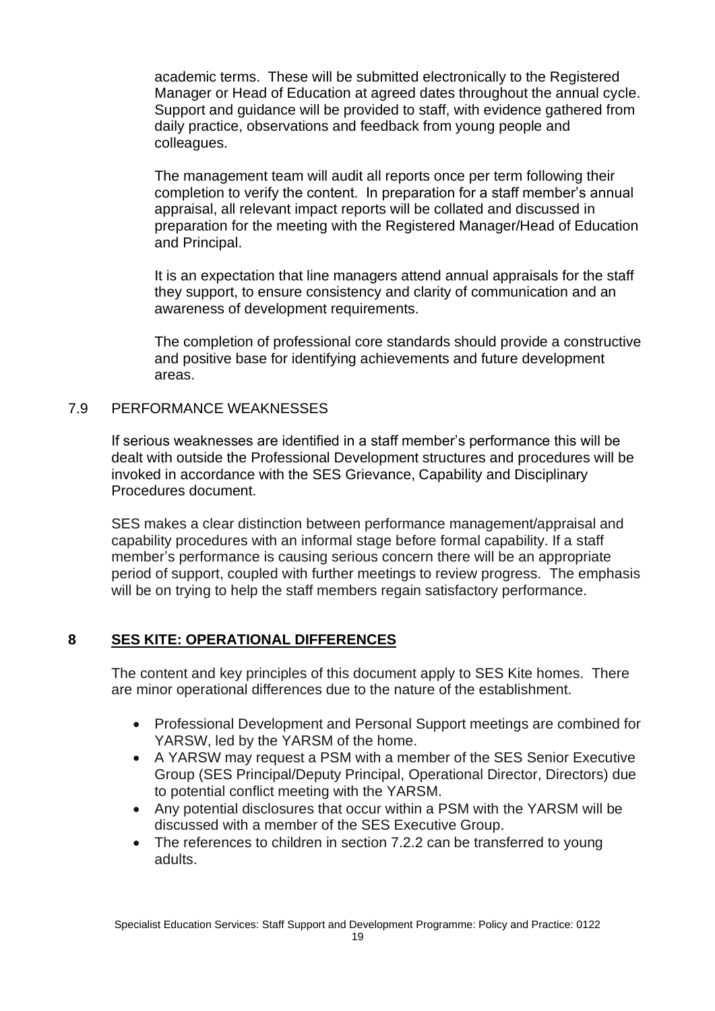academic terms. These will be submitted electronically to the Registered Manager or Head of Education at agreed dates throughout the annual cycle. Support and guidance will be provided to staff, with evidence gathered from daily practice, observations and feedback from young people and colleagues.

The management team will audit all reports once per term following their completion to verify the content. In preparation for a staff member's annual appraisal, all relevant impact reports will be collated and discussed in preparation for the meeting with the Registered Manager/Head of Education and Principal.

It is an expectation that line managers attend annual appraisals for the staff they support, to ensure consistency and clarity of communication and an awareness of development requirements.

The completion of professional core standards should provide a constructive and positive base for identifying achievements and future development areas.

#### 7.9 PERFORMANCE WEAKNESSES

If serious weaknesses are identified in a staff member's performance this will be dealt with outside the Professional Development structures and procedures will be invoked in accordance with the SES Grievance, Capability and Disciplinary Procedures document.

SES makes a clear distinction between performance management/appraisal and capability procedures with an informal stage before formal capability. If a staff member's performance is causing serious concern there will be an appropriate period of support, coupled with further meetings to review progress. The emphasis will be on trying to help the staff members regain satisfactory performance.

#### **8 SES KITE: OPERATIONAL DIFFERENCES**

The content and key principles of this document apply to SES Kite homes. There are minor operational differences due to the nature of the establishment.

- Professional Development and Personal Support meetings are combined for YARSW, led by the YARSM of the home.
- A YARSW may request a PSM with a member of the SES Senior Executive Group (SES Principal/Deputy Principal, Operational Director, Directors) due to potential conflict meeting with the YARSM.
- Any potential disclosures that occur within a PSM with the YARSM will be discussed with a member of the SES Executive Group.
- The references to children in section 7.2.2 can be transferred to young adults.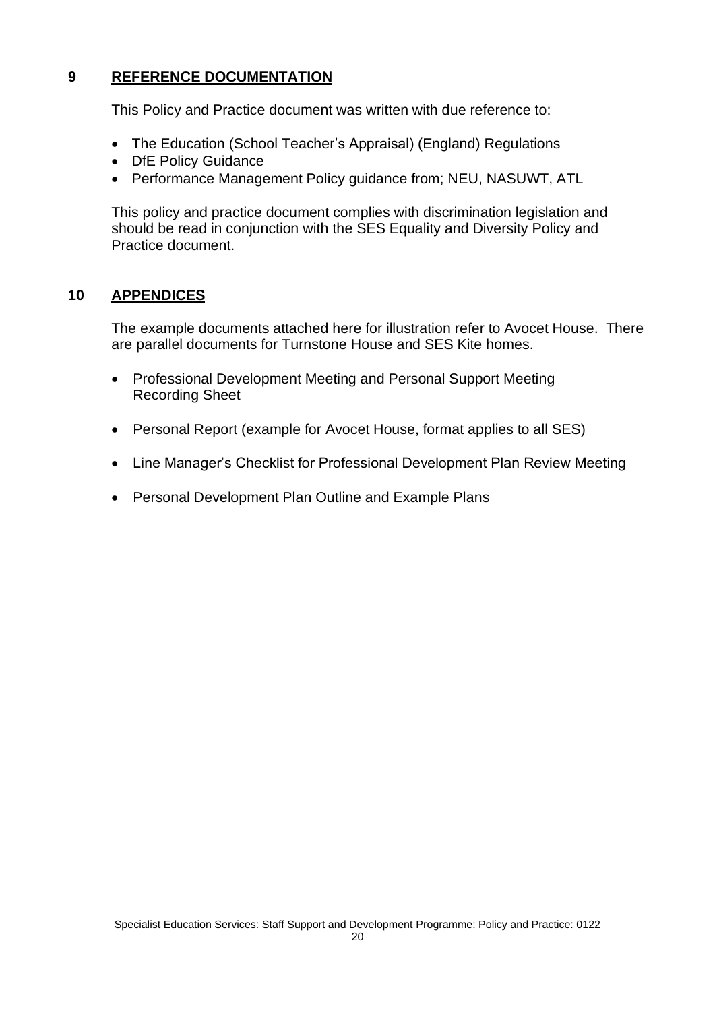#### **9 REFERENCE DOCUMENTATION**

This Policy and Practice document was written with due reference to:

- The Education (School Teacher's Appraisal) (England) Regulations
- DfE Policy Guidance
- Performance Management Policy guidance from; NEU, NASUWT, ATL

This policy and practice document complies with discrimination legislation and should be read in conjunction with the SES Equality and Diversity Policy and Practice document.

#### **10 APPENDICES**

The example documents attached here for illustration refer to Avocet House. There are parallel documents for Turnstone House and SES Kite homes.

- Professional Development Meeting and Personal Support Meeting Recording Sheet
- Personal Report (example for Avocet House, format applies to all SES)
- Line Manager's Checklist for Professional Development Plan Review Meeting
- Personal Development Plan Outline and Example Plans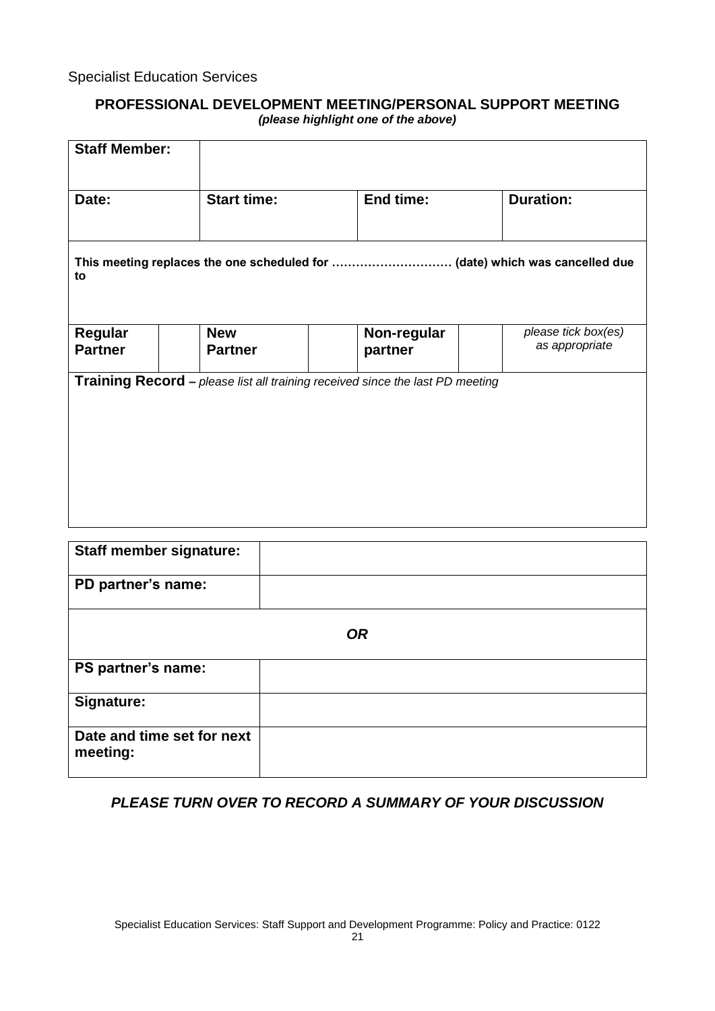#### **PROFESSIONAL DEVELOPMENT MEETING/PERSONAL SUPPORT MEETING** *(please highlight one of the above)*

| <b>Staff Member:</b>      |  |                                                                                      |  |                        |  |                                       |  |
|---------------------------|--|--------------------------------------------------------------------------------------|--|------------------------|--|---------------------------------------|--|
| Date:                     |  | <b>Start time:</b>                                                                   |  | <b>End time:</b>       |  | <b>Duration:</b>                      |  |
| to                        |  |                                                                                      |  |                        |  |                                       |  |
| Regular<br><b>Partner</b> |  | <b>New</b><br><b>Partner</b>                                                         |  | Non-regular<br>partner |  | please tick box(es)<br>as appropriate |  |
|                           |  | <b>Training Record - please list all training received since the last PD meeting</b> |  |                        |  |                                       |  |

| <b>Staff member signature:</b>         |  |  |  |
|----------------------------------------|--|--|--|
| PD partner's name:                     |  |  |  |
| <b>OR</b>                              |  |  |  |
| PS partner's name:                     |  |  |  |
| Signature:                             |  |  |  |
| Date and time set for next<br>meeting: |  |  |  |

#### *PLEASE TURN OVER TO RECORD A SUMMARY OF YOUR DISCUSSION*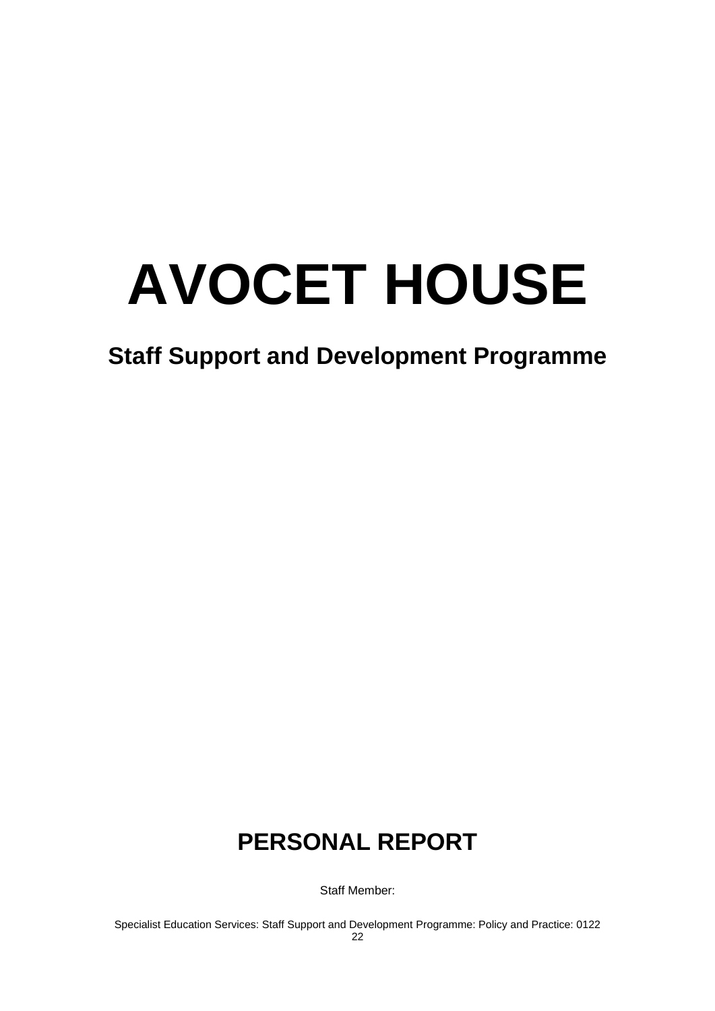# **AVOCET HOUSE**

## **Staff Support and Development Programme**

# **PERSONAL REPORT**

Staff Member: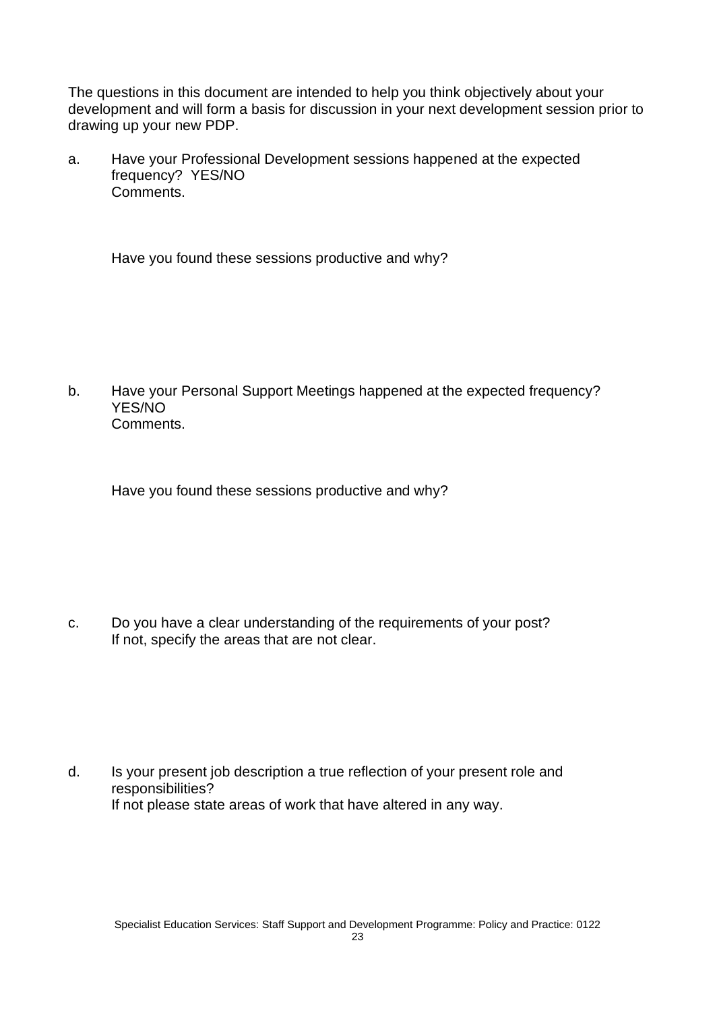The questions in this document are intended to help you think objectively about your development and will form a basis for discussion in your next development session prior to drawing up your new PDP.

a. Have your Professional Development sessions happened at the expected frequency? YES/NO Comments.

Have you found these sessions productive and why?

b. Have your Personal Support Meetings happened at the expected frequency? YES/NO Comments.

Have you found these sessions productive and why?

c. Do you have a clear understanding of the requirements of your post? If not, specify the areas that are not clear.

d. Is your present job description a true reflection of your present role and responsibilities? If not please state areas of work that have altered in any way.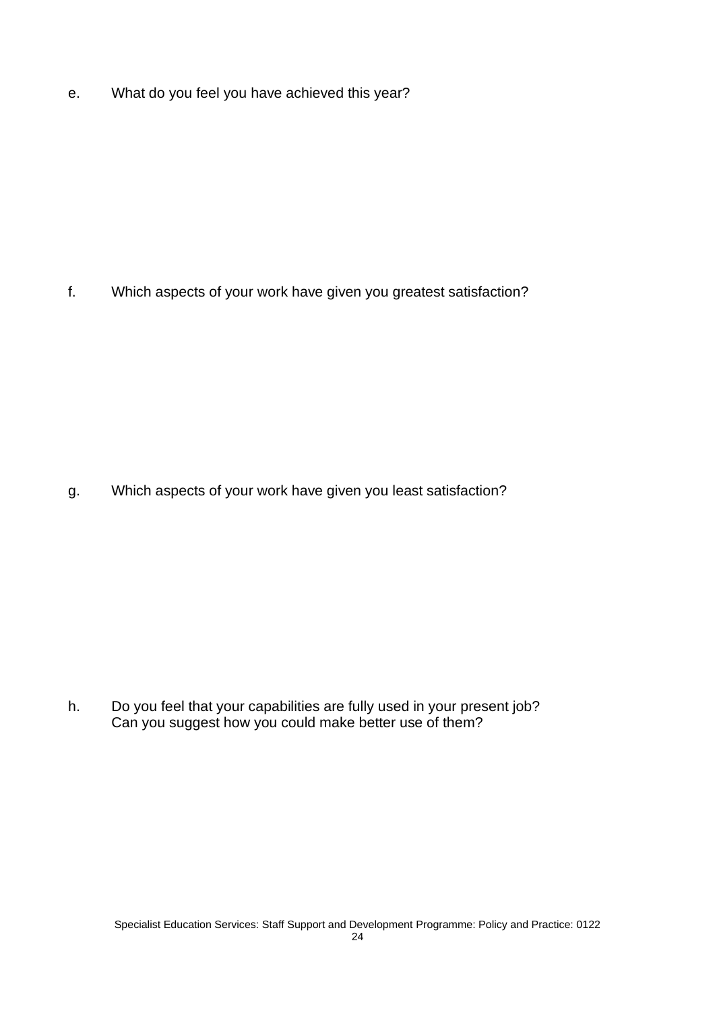e. What do you feel you have achieved this year?

f. Which aspects of your work have given you greatest satisfaction?

g. Which aspects of your work have given you least satisfaction?

h. Do you feel that your capabilities are fully used in your present job? Can you suggest how you could make better use of them?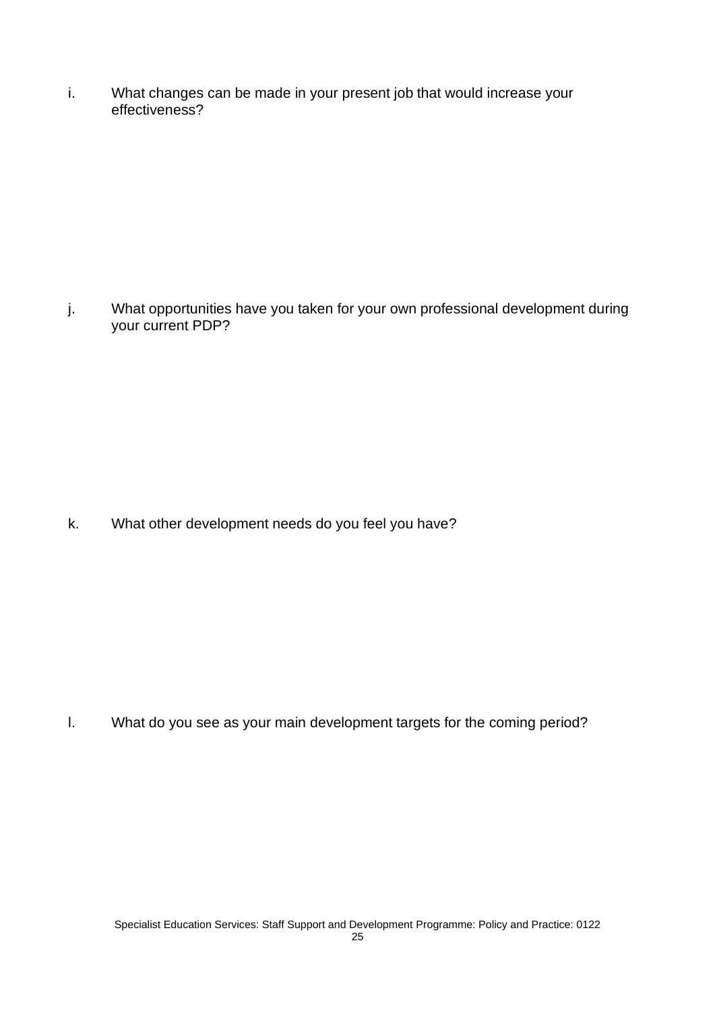i. What changes can be made in your present job that would increase your effectiveness?

j. What opportunities have you taken for your own professional development during your current PDP?

k. What other development needs do you feel you have?

l. What do you see as your main development targets for the coming period?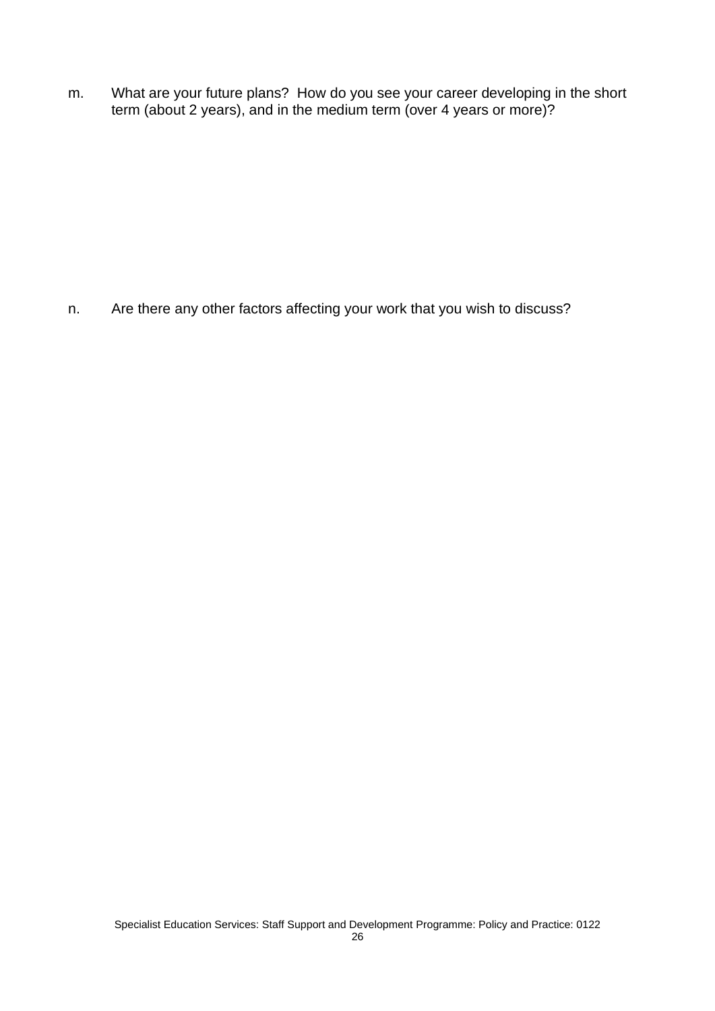m. What are your future plans? How do you see your career developing in the short term (about 2 years), and in the medium term (over 4 years or more)?

n. Are there any other factors affecting your work that you wish to discuss?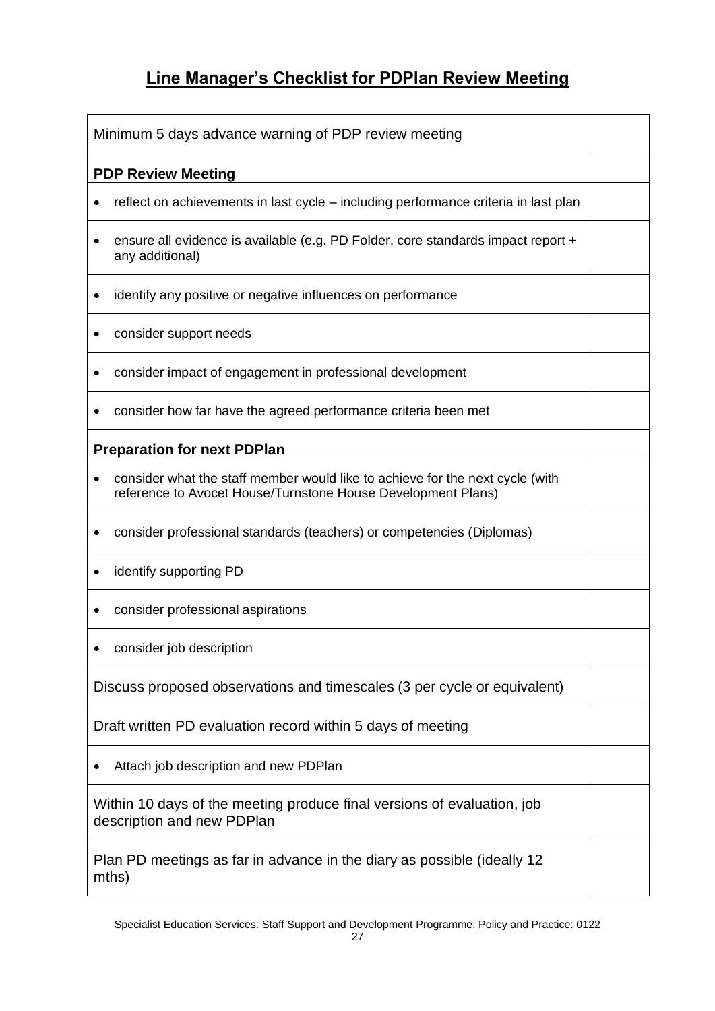## **Line Manager's Checklist for PDPlan Review Meeting**

| Minimum 5 days advance warning of PDP review meeting                                                                                          |  |  |  |
|-----------------------------------------------------------------------------------------------------------------------------------------------|--|--|--|
| <b>PDP Review Meeting</b>                                                                                                                     |  |  |  |
| reflect on achievements in last cycle – including performance criteria in last plan                                                           |  |  |  |
| ensure all evidence is available (e.g. PD Folder, core standards impact report +<br>any additional)                                           |  |  |  |
| identify any positive or negative influences on performance                                                                                   |  |  |  |
| consider support needs                                                                                                                        |  |  |  |
| consider impact of engagement in professional development                                                                                     |  |  |  |
| consider how far have the agreed performance criteria been met                                                                                |  |  |  |
| <b>Preparation for next PDPlan</b>                                                                                                            |  |  |  |
| consider what the staff member would like to achieve for the next cycle (with<br>reference to Avocet House/Turnstone House Development Plans) |  |  |  |
| consider professional standards (teachers) or competencies (Diplomas)                                                                         |  |  |  |
| identify supporting PD                                                                                                                        |  |  |  |
| consider professional aspirations                                                                                                             |  |  |  |
| consider job description                                                                                                                      |  |  |  |
| Discuss proposed observations and timescales (3 per cycle or equivalent)                                                                      |  |  |  |
| Draft written PD evaluation record within 5 days of meeting                                                                                   |  |  |  |
| Attach job description and new PDPlan                                                                                                         |  |  |  |
| Within 10 days of the meeting produce final versions of evaluation, job<br>description and new PDPlan                                         |  |  |  |
| Plan PD meetings as far in advance in the diary as possible (ideally 12)<br>mths)                                                             |  |  |  |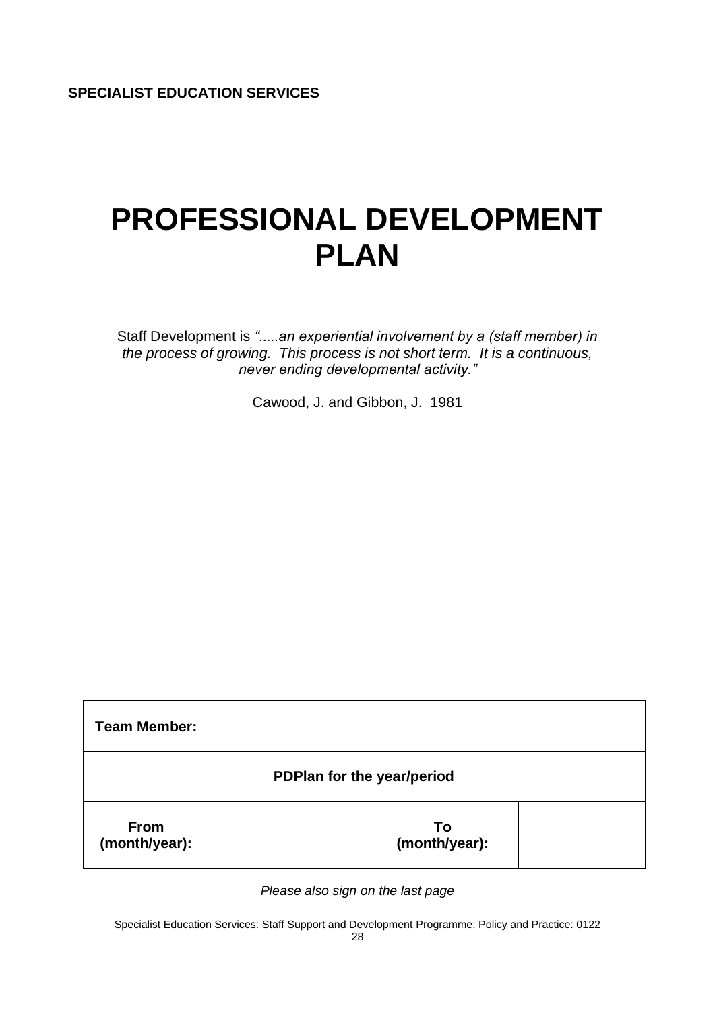# **PROFESSIONAL DEVELOPMENT PLAN**

Staff Development is *".....an experiential involvement by a (staff member) in the process of growing. This process is not short term. It is a continuous, never ending developmental activity."*

Cawood, J. and Gibbon, J. 1981

| <b>Team Member:</b>          |  |                     |  |  |
|------------------------------|--|---------------------|--|--|
| PDPlan for the year/period   |  |                     |  |  |
| <b>From</b><br>(month/year): |  | To<br>(month/year): |  |  |

*Please also sign on the last page*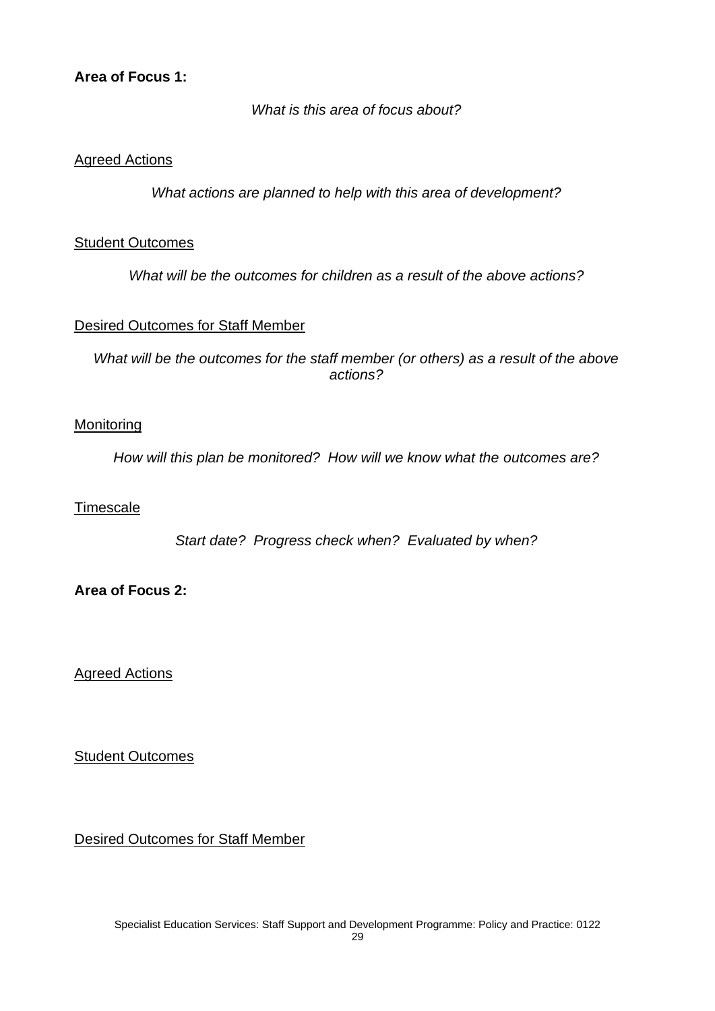#### **Area of Focus 1:**

*What is this area of focus about?*

#### Agreed Actions

*What actions are planned to help with this area of development?*

#### Student Outcomes

*What will be the outcomes for children as a result of the above actions?*

#### Desired Outcomes for Staff Member

*What will be the outcomes for the staff member (or others) as a result of the above actions?*

#### **Monitoring**

*How will this plan be monitored? How will we know what the outcomes are?*

#### **Timescale**

*Start date? Progress check when? Evaluated by when?*

#### **Area of Focus 2:**

Agreed Actions

Student Outcomes

Desired Outcomes for Staff Member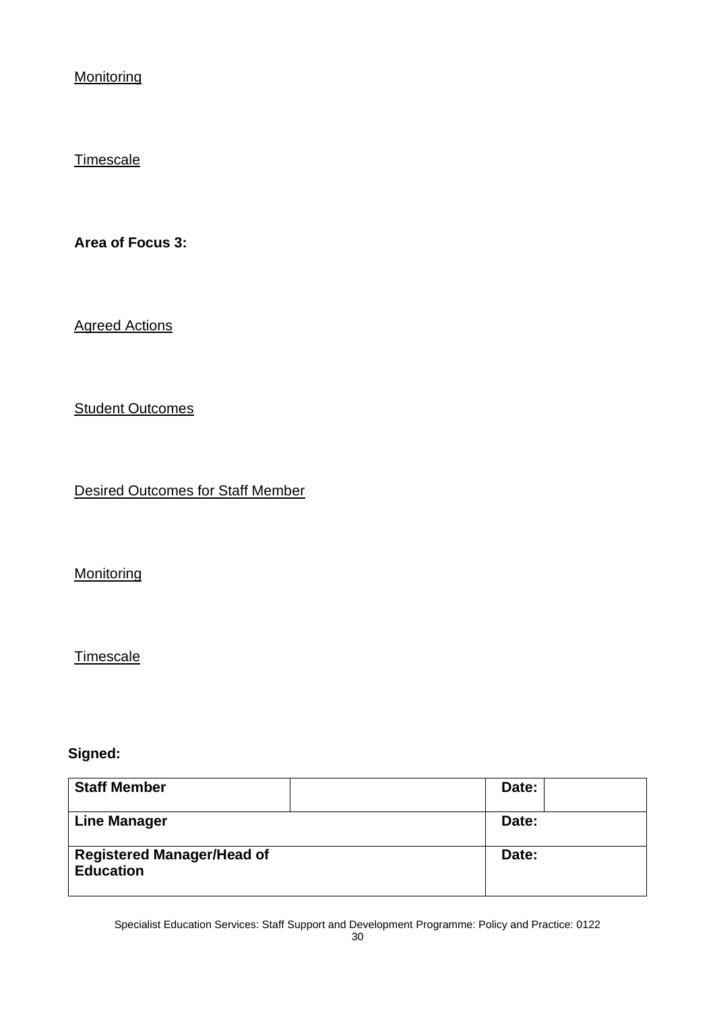**Monitoring** 

#### **Timescale**

**Area of Focus 3:**

Agreed Actions

**Student Outcomes** 

Desired Outcomes for Staff Member

**Monitoring** 

**Timescale** 

#### **Signed:**

| <b>Staff Member</b>                                   | Date: |
|-------------------------------------------------------|-------|
| <b>Line Manager</b>                                   | Date: |
| <b>Registered Manager/Head of</b><br><b>Education</b> | Date: |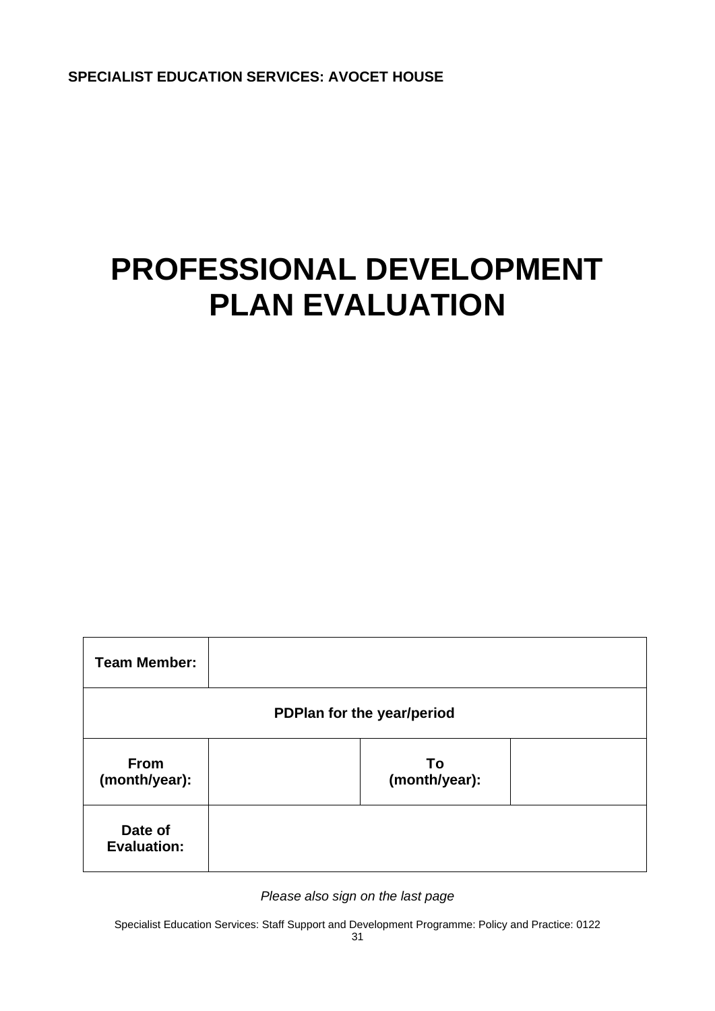**SPECIALIST EDUCATION SERVICES: AVOCET HOUSE**

# **PROFESSIONAL DEVELOPMENT PLAN EVALUATION**

| <b>Team Member:</b>           |  |                     |  |  |
|-------------------------------|--|---------------------|--|--|
| PDPlan for the year/period    |  |                     |  |  |
| <b>From</b><br>(month/year):  |  | To<br>(month/year): |  |  |
| Date of<br><b>Evaluation:</b> |  |                     |  |  |

*Please also sign on the last page*